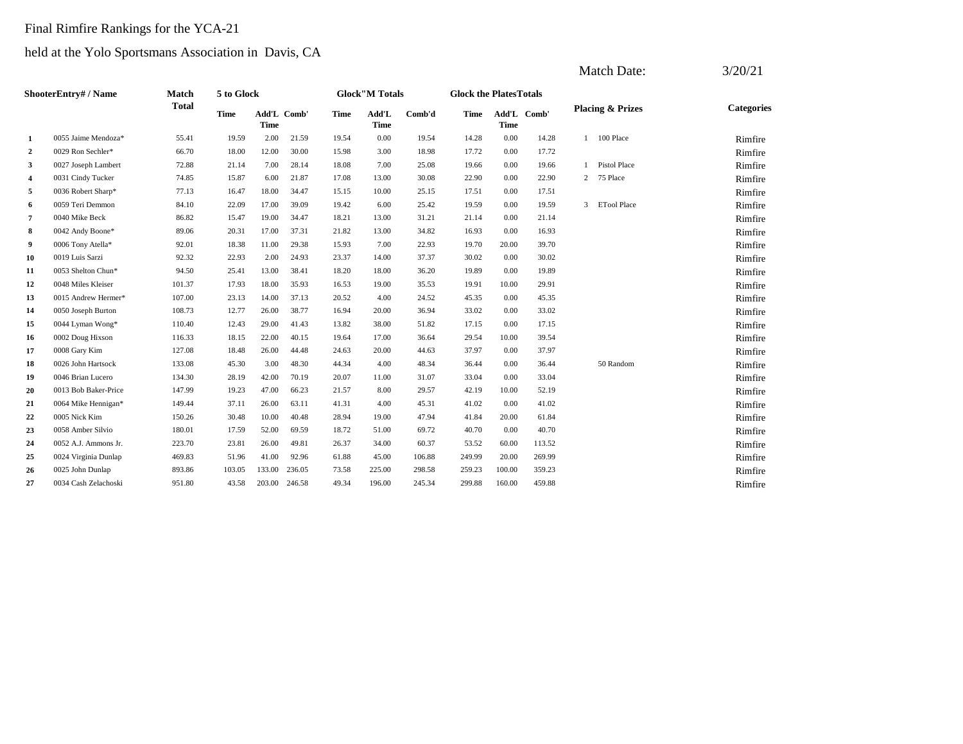# Final Rimfire Rankings for the YCA-21

|                |                      |              |             |                            |        |       |                        |        |                               |                            |        |               | <b>Match Date:</b>          | 3/20/21           |
|----------------|----------------------|--------------|-------------|----------------------------|--------|-------|------------------------|--------|-------------------------------|----------------------------|--------|---------------|-----------------------------|-------------------|
|                | ShooterEntry# / Name | <b>Match</b> | 5 to Glock  |                            |        |       | <b>Glock</b> "M Totals |        | <b>Glock the PlatesTotals</b> |                            |        |               |                             |                   |
|                |                      | <b>Total</b> | <b>Time</b> | Add'L Comb'<br><b>Time</b> |        | Time  | Add'L<br><b>Time</b>   | Comb'd | <b>Time</b>                   | Add'L Comb'<br><b>Time</b> |        |               | <b>Placing &amp; Prizes</b> | <b>Categories</b> |
| $\mathbf{1}$   | 0055 Jaime Mendoza*  | 55.41        | 19.59       | 2.00                       | 21.59  | 19.54 | 0.00                   | 19.54  | 14.28                         | 0.00                       | 14.28  |               | 1 100 Place                 | Rimfire           |
| $\overline{2}$ | 0029 Ron Sechler*    | 66.70        | 18.00       | 12.00                      | 30.00  | 15.98 | 3.00                   | 18.98  | 17.72                         | 0.00                       | 17.72  |               |                             | Rimfire           |
| 3              | 0027 Joseph Lambert  | 72.88        | 21.14       | 7.00                       | 28.14  | 18.08 | 7.00                   | 25.08  | 19.66                         | 0.00                       | 19.66  |               | <b>Pistol Place</b>         | Rimfire           |
| $\overline{4}$ | 0031 Cindy Tucker    | 74.85        | 15.87       | 6.00                       | 21.87  | 17.08 | 13.00                  | 30.08  | 22.90                         | 0.00                       | 22.90  | $\mathbf{2}$  | 75 Place                    | Rimfire           |
| 5              | 0036 Robert Sharp*   | 77.13        | 16.47       | 18.00                      | 34.47  | 15.15 | 10.00                  | 25.15  | 17.51                         | 0.00                       | 17.51  |               |                             | Rimfire           |
| 6              | 0059 Teri Demmon     | 84.10        | 22.09       | 17.00                      | 39.09  | 19.42 | 6.00                   | 25.42  | 19.59                         | 0.00                       | 19.59  | $\mathcal{E}$ | <b>ETool Place</b>          | Rimfire           |
| $\overline{7}$ | 0040 Mike Beck       | 86.82        | 15.47       | 19.00                      | 34.47  | 18.21 | 13.00                  | 31.21  | 21.14                         | 0.00                       | 21.14  |               |                             | Rimfire           |
| 8              | 0042 Andy Boone*     | 89.06        | 20.31       | 17.00                      | 37.31  | 21.82 | 13.00                  | 34.82  | 16.93                         | 0.00                       | 16.93  |               |                             | Rimfire           |
| 9              | 0006 Tony Atella*    | 92.01        | 18.38       | 11.00                      | 29.38  | 15.93 | 7.00                   | 22.93  | 19.70                         | 20.00                      | 39.70  |               |                             | Rimfire           |
| 10             | 0019 Luis Sarzi      | 92.32        | 22.93       | 2.00                       | 24.93  | 23.37 | 14.00                  | 37.37  | 30.02                         | 0.00                       | 30.02  |               |                             | Rimfire           |
| 11             | 0053 Shelton Chun*   | 94.50        | 25.41       | 13.00                      | 38.41  | 18.20 | 18.00                  | 36.20  | 19.89                         | 0.00                       | 19.89  |               |                             | Rimfire           |
| 12             | 0048 Miles Kleiser   | 101.37       | 17.93       | 18.00                      | 35.93  | 16.53 | 19.00                  | 35.53  | 19.91                         | 10.00                      | 29.91  |               |                             | Rimfire           |
| 13             | 0015 Andrew Hermer*  | 107.00       | 23.13       | 14.00                      | 37.13  | 20.52 | 4.00                   | 24.52  | 45.35                         | 0.00                       | 45.35  |               |                             | Rimfire           |
| 14             | 0050 Joseph Burton   | 108.73       | 12.77       | 26.00                      | 38.77  | 16.94 | 20.00                  | 36.94  | 33.02                         | 0.00                       | 33.02  |               |                             | Rimfire           |
| 15             | 0044 Lyman Wong*     | 110.40       | 12.43       | 29.00                      | 41.43  | 13.82 | 38.00                  | 51.82  | 17.15                         | 0.00                       | 17.15  |               |                             | Rimfire           |
| 16             | 0002 Doug Hixson     | 116.33       | 18.15       | 22.00                      | 40.15  | 19.64 | 17.00                  | 36.64  | 29.54                         | 10.00                      | 39.54  |               |                             | Rimfire           |
| 17             | 0008 Gary Kim        | 127.08       | 18.48       | 26.00                      | 44.48  | 24.63 | 20.00                  | 44.63  | 37.97                         | 0.00                       | 37.97  |               |                             | Rimfire           |
| 18             | 0026 John Hartsock   | 133.08       | 45.30       | 3.00                       | 48.30  | 44.34 | 4.00                   | 48.34  | 36.44                         | 0.00                       | 36.44  |               | 50 Random                   | Rimfire           |
| 19             | 0046 Brian Lucero    | 134.30       | 28.19       | 42.00                      | 70.19  | 20.07 | 11.00                  | 31.07  | 33.04                         | 0.00                       | 33.04  |               |                             | Rimfire           |
| 20             | 0013 Bob Baker-Price | 147.99       | 19.23       | 47.00                      | 66.23  | 21.57 | 8.00                   | 29.57  | 42.19                         | 10.00                      | 52.19  |               |                             | Rimfire           |
| 21             | 0064 Mike Hennigan*  | 149.44       | 37.11       | 26.00                      | 63.11  | 41.31 | 4.00                   | 45.31  | 41.02                         | 0.00                       | 41.02  |               |                             | Rimfire           |
| 22             | 0005 Nick Kim        | 150.26       | 30.48       | 10.00                      | 40.48  | 28.94 | 19.00                  | 47.94  | 41.84                         | 20.00                      | 61.84  |               |                             | Rimfire           |
| 23             | 0058 Amber Silvio    | 180.01       | 17.59       | 52.00                      | 69.59  | 18.72 | 51.00                  | 69.72  | 40.70                         | 0.00                       | 40.70  |               |                             | Rimfire           |
| 24             | 0052 A.J. Ammons Jr. | 223.70       | 23.81       | 26.00                      | 49.81  | 26.37 | 34.00                  | 60.37  | 53.52                         | 60.00                      | 113.52 |               |                             | Rimfire           |
| 25             | 0024 Virginia Dunlap | 469.83       | 51.96       | 41.00                      | 92.96  | 61.88 | 45.00                  | 106.88 | 249.99                        | 20.00                      | 269.99 |               |                             | Rimfire           |
| 26             | 0025 John Dunlap     | 893.86       | 103.05      | 133.00                     | 236.05 | 73.58 | 225.00                 | 298.58 | 259.23                        | 100.00                     | 359.23 |               |                             | Rimfire           |
| 27             | 0034 Cash Zelachoski | 951.80       | 43.58       | 203.00                     | 246.58 | 49.34 | 196.00                 | 245.34 | 299.88                        | 160.00                     | 459.88 |               |                             | Rimfire           |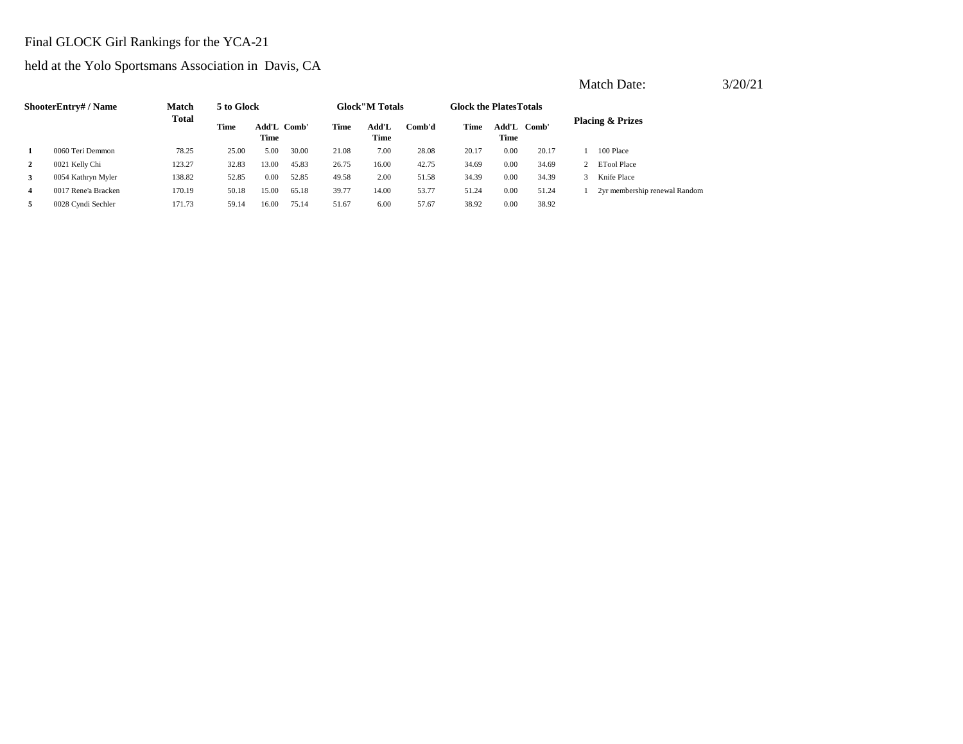# Final GLOCK Girl Rankings for the YCA-21

held at the Yolo Sportsmans Association in Davis, CA

|                | <b>ShooterEntry#/Name</b> | <b>Match</b> | 5 to Glock |                     |       |       | <b>Glock</b> "M Totals |        | <b>Glock the Plates Totals</b> |               |       |                               |
|----------------|---------------------------|--------------|------------|---------------------|-------|-------|------------------------|--------|--------------------------------|---------------|-------|-------------------------------|
|                |                           | <b>Total</b> | Time       | Add'L Comb'<br>Time |       | Time  | Add'L<br>Time          | Comb'd | Time                           | Add'L<br>Time | Comb' | <b>Placing &amp; Prizes</b>   |
|                | 0060 Teri Demmon          | 78.25        | 25.00      | 5.00                | 30.00 | 21.08 | 7.00                   | 28.08  | 20.17                          | 0.00          | 20.17 | 100 Place                     |
| $\mathbf{2}$   | 0021 Kelly Chi            | 123.27       | 32.83      | 13.00               | 45.83 | 26.75 | 16.00                  | 42.75  | 34.69                          | 0.00          | 34.69 | 2 ETool Place                 |
| 3              | 0054 Kathryn Myler        | 138.82       | 52.85      | 0.00                | 52.85 | 49.58 | 2.00                   | 51.58  | 34.39                          | 0.00          | 34.39 | Knife Place                   |
| $\overline{4}$ | 0017 Rene'a Bracken       | 170.19       | 50.18      | 15.00               | 65.18 | 39.77 | 14.00                  | 53.77  | 51.24                          | 0.00          | 51.24 | 2yr membership renewal Random |
| 5              | 0028 Cyndi Sechler        | 171.73       | 59.14      | 16.00               | 75.14 | 51.67 | 6.00                   | 57.67  | 38.92                          | 0.00          | 38.92 |                               |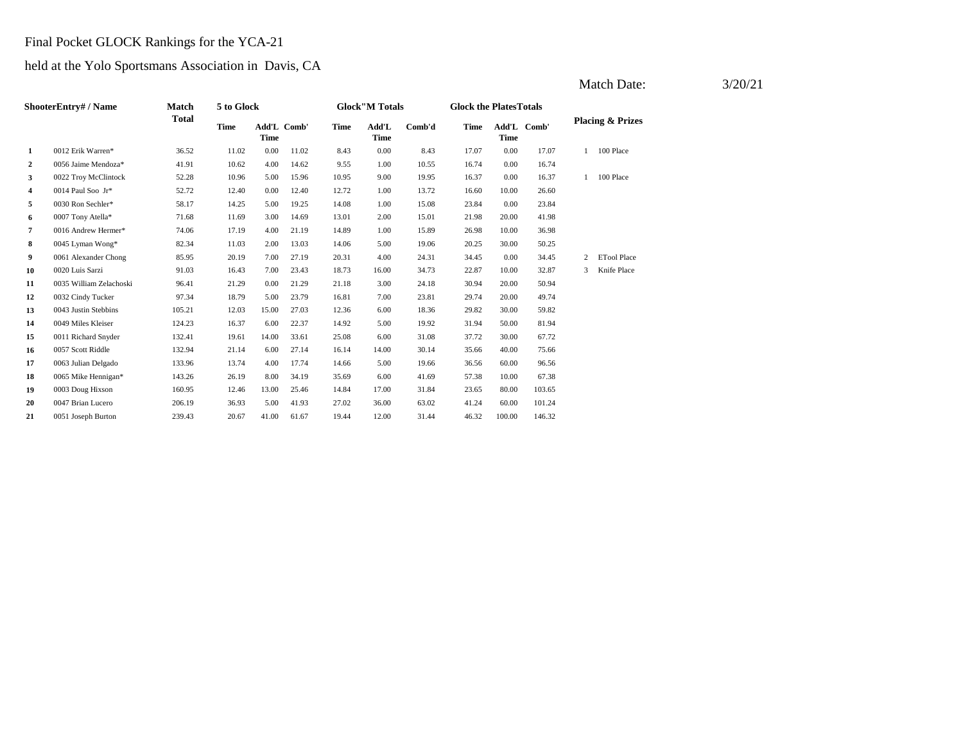# Final Pocket GLOCK Rankings for the YCA-21

## held at the Yolo Sportsmans Association in Davis, CA

|                | <b>ShooterEntry# / Name</b> | <b>Match</b> | 5 to Glock  |                     |       |             | <b>Glock</b> "M Totals |        | <b>Glock the PlatesTotals</b> |                     |        |   |                             |
|----------------|-----------------------------|--------------|-------------|---------------------|-------|-------------|------------------------|--------|-------------------------------|---------------------|--------|---|-----------------------------|
|                |                             | Total        | <b>Time</b> | Add'L Comb'<br>Time |       | <b>Time</b> | Add'L<br>Time          | Comb'd | <b>Time</b>                   | Add'L Comb'<br>Time |        |   | <b>Placing &amp; Prizes</b> |
| $\mathbf{1}$   | 0012 Erik Warren*           | 36.52        | 11.02       | 0.00                | 11.02 | 8.43        | 0.00                   | 8.43   | 17.07                         | 0.00                | 17.07  | 1 | 100 Place                   |
| $\overline{2}$ | 0056 Jaime Mendoza*         | 41.91        | 10.62       | 4.00                | 14.62 | 9.55        | 1.00                   | 10.55  | 16.74                         | 0.00                | 16.74  |   |                             |
| 3              | 0022 Troy McClintock        | 52.28        | 10.96       | 5.00                | 15.96 | 10.95       | 9.00                   | 19.95  | 16.37                         | 0.00                | 16.37  | 1 | 100 Place                   |
| 4              | 0014 Paul Soo Jr*           | 52.72        | 12.40       | 0.00                | 12.40 | 12.72       | 1.00                   | 13.72  | 16.60                         | 10.00               | 26.60  |   |                             |
| 5              | 0030 Ron Sechler*           | 58.17        | 14.25       | 5.00                | 19.25 | 14.08       | 1.00                   | 15.08  | 23.84                         | 0.00                | 23.84  |   |                             |
| 6              | 0007 Tony Atella*           | 71.68        | 11.69       | 3.00                | 14.69 | 13.01       | 2.00                   | 15.01  | 21.98                         | 20.00               | 41.98  |   |                             |
| $\overline{7}$ | 0016 Andrew Hermer*         | 74.06        | 17.19       | 4.00                | 21.19 | 14.89       | 1.00                   | 15.89  | 26.98                         | 10.00               | 36.98  |   |                             |
| 8              | 0045 Lyman Wong*            | 82.34        | 11.03       | 2.00                | 13.03 | 14.06       | 5.00                   | 19.06  | 20.25                         | 30.00               | 50.25  |   |                             |
| 9              | 0061 Alexander Chong        | 85.95        | 20.19       | 7.00                | 27.19 | 20.31       | 4.00                   | 24.31  | 34.45                         | 0.00                | 34.45  | 2 | <b>ETool Place</b>          |
| 10             | 0020 Luis Sarzi             | 91.03        | 16.43       | 7.00                | 23.43 | 18.73       | 16.00                  | 34.73  | 22.87                         | 10.00               | 32.87  | 3 | Knife Place                 |
| 11             | 0035 William Zelachoski     | 96.41        | 21.29       | 0.00                | 21.29 | 21.18       | 3.00                   | 24.18  | 30.94                         | 20.00               | 50.94  |   |                             |
| 12             | 0032 Cindy Tucker           | 97.34        | 18.79       | 5.00                | 23.79 | 16.81       | 7.00                   | 23.81  | 29.74                         | 20.00               | 49.74  |   |                             |
| 13             | 0043 Justin Stebbins        | 105.21       | 12.03       | 15.00               | 27.03 | 12.36       | 6.00                   | 18.36  | 29.82                         | 30.00               | 59.82  |   |                             |
| 14             | 0049 Miles Kleiser          | 124.23       | 16.37       | 6.00                | 22.37 | 14.92       | 5.00                   | 19.92  | 31.94                         | 50.00               | 81.94  |   |                             |
| 15             | 0011 Richard Snyder         | 132.41       | 19.61       | 14.00               | 33.61 | 25.08       | 6.00                   | 31.08  | 37.72                         | 30.00               | 67.72  |   |                             |
| 16             | 0057 Scott Riddle           | 132.94       | 21.14       | 6.00                | 27.14 | 16.14       | 14.00                  | 30.14  | 35.66                         | 40.00               | 75.66  |   |                             |
| 17             | 0063 Julian Delgado         | 133.96       | 13.74       | 4.00                | 17.74 | 14.66       | 5.00                   | 19.66  | 36.56                         | 60.00               | 96.56  |   |                             |
| 18             | 0065 Mike Hennigan*         | 143.26       | 26.19       | 8.00                | 34.19 | 35.69       | 6.00                   | 41.69  | 57.38                         | 10.00               | 67.38  |   |                             |
| 19             | 0003 Doug Hixson            | 160.95       | 12.46       | 13.00               | 25.46 | 14.84       | 17.00                  | 31.84  | 23.65                         | 80.00               | 103.65 |   |                             |
| 20             | 0047 Brian Lucero           | 206.19       | 36.93       | 5.00                | 41.93 | 27.02       | 36.00                  | 63.02  | 41.24                         | 60.00               | 101.24 |   |                             |
| 21             | 0051 Joseph Burton          | 239.43       | 20.67       | 41.00               | 61.67 | 19.44       | 12.00                  | 31.44  | 46.32                         | 100.00              | 146.32 |   |                             |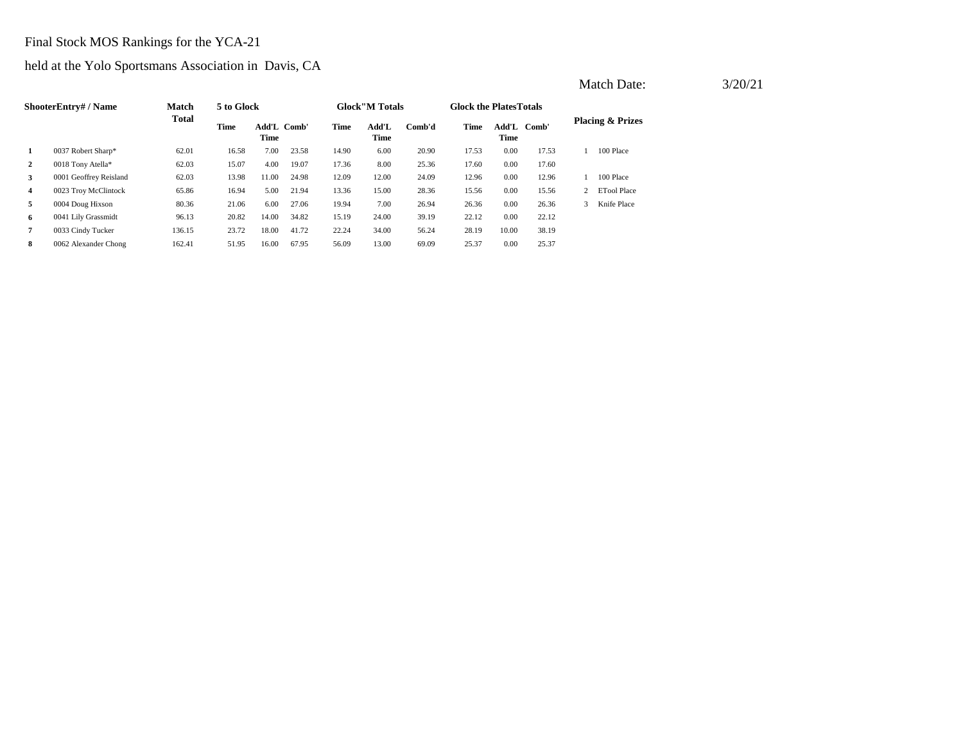# Final Stock MOS Rankings for the YCA-21

### held at the Yolo Sportsmans Association in Davis, CA

|                | ShooterEntry# / Name   | <b>Match</b> | 5 to Glock |                     |       |       | <b>Glock</b> "M Totals |        | <b>Glock the PlatesTotals</b> |                     |       |    |                             |
|----------------|------------------------|--------------|------------|---------------------|-------|-------|------------------------|--------|-------------------------------|---------------------|-------|----|-----------------------------|
|                |                        | <b>Total</b> | Time       | Add'L Comb'<br>Time |       | Time  | Add'L<br>Time          | Comb'd | Time                          | Add'L Comb'<br>Time |       |    | <b>Placing &amp; Prizes</b> |
| 1              | 0037 Robert Sharp*     | 62.01        | 16.58      | 7.00                | 23.58 | 14.90 | 6.00                   | 20.90  | 17.53                         | 0.00                | 17.53 |    | 100 Place                   |
| $\overline{2}$ | 0018 Tony Atella*      | 62.03        | 15.07      | 4.00                | 19.07 | 17.36 | 8.00                   | 25.36  | 17.60                         | 0.00                | 17.60 |    |                             |
| 3              | 0001 Geoffrey Reisland | 62.03        | 13.98      | 11.00               | 24.98 | 12.09 | 12.00                  | 24.09  | 12.96                         | 0.00                | 12.96 |    | 100 Place                   |
| $\overline{4}$ | 0023 Troy McClintock   | 65.86        | 16.94      | 5.00                | 21.94 | 13.36 | 15.00                  | 28.36  | 15.56                         | 0.00                | 15.56 |    | <b>ETool Place</b>          |
| 5              | 0004 Doug Hixson       | 80.36        | 21.06      | 6.00                | 27.06 | 19.94 | 7.00                   | 26.94  | 26.36                         | 0.00                | 26.36 | 3. | Knife Place                 |
| 6              | 0041 Lily Grassmidt    | 96.13        | 20.82      | 14.00               | 34.82 | 15.19 | 24.00                  | 39.19  | 22.12                         | 0.00                | 22.12 |    |                             |
| $\overline{7}$ | 0033 Cindy Tucker      | 136.15       | 23.72      | 18.00               | 41.72 | 22.24 | 34.00                  | 56.24  | 28.19                         | 10.00               | 38.19 |    |                             |
| 8              | 0062 Alexander Chong   | 162.41       | 51.95      | 16.00               | 67.95 | 56.09 | 13.00                  | 69.09  | 25.37                         | 0.00                | 25.37 |    |                             |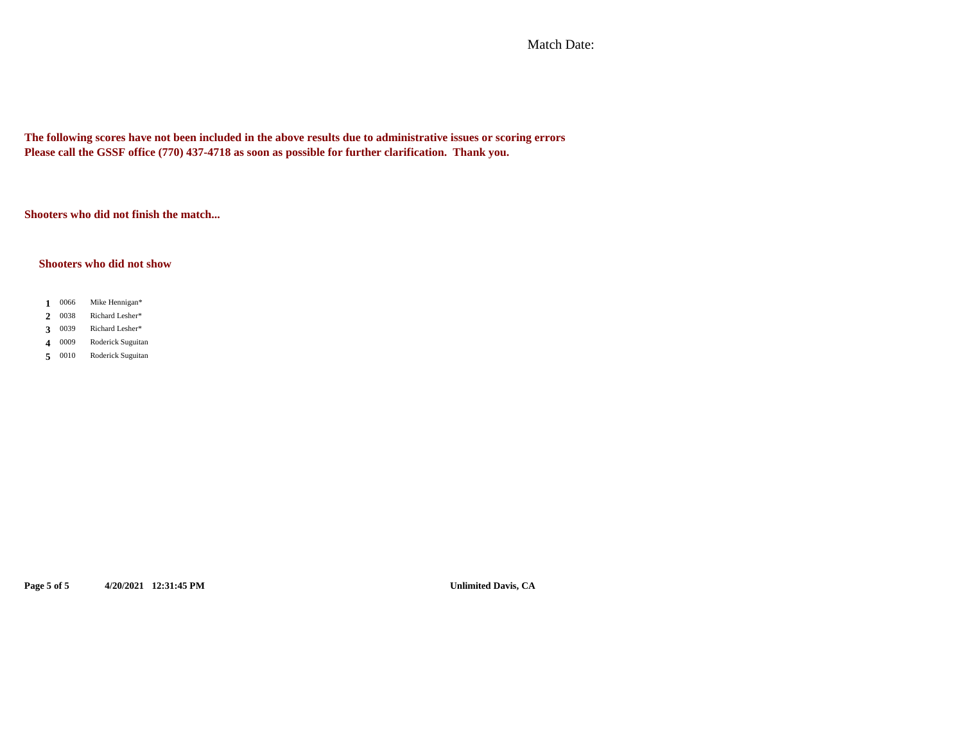Match Date:

**The following scores have not been included in the above results due to administrative issues or scoring errors Please call the GSSF office (770) 437-4718 as soon as possible for further clarification. Thank you.**

**Shooters who did not finish the match...**

### **Shooters who did not show**

- $1 \t0066$ **1** Mike Hennigan\*
- 2 0038 **2** Richard Lesher\*
- 3 0039 **3** Richard Lesher\*
- 4 0009 **4** Roderick Suguitan
- **5** 0010 Roderick Suguitan

**Page 5 of 5 4/20/2021 12:31:45 PM Unlimited Davis, CA**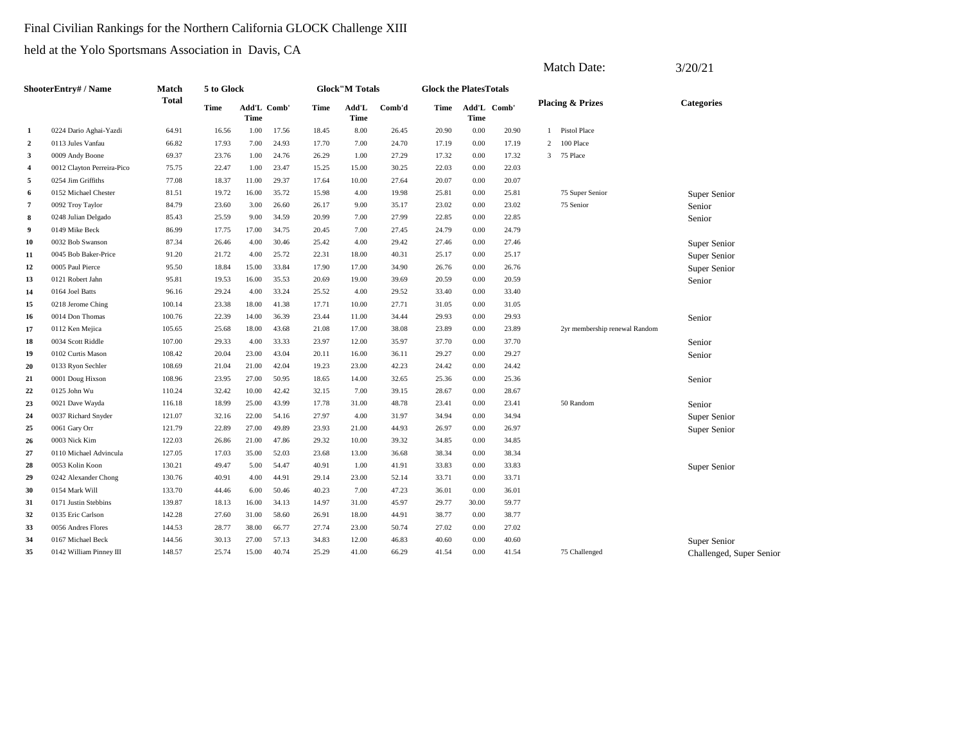### Final Civilian Rankings for the Northern California GLOCK Challenge XIII

|                |                            |              |             |             |             |       |                       |        |                               |             |             |                | <b>Match Date:</b>            | 3/20/21                  |
|----------------|----------------------------|--------------|-------------|-------------|-------------|-------|-----------------------|--------|-------------------------------|-------------|-------------|----------------|-------------------------------|--------------------------|
|                | ShooterEntry# / Name       | Match        | 5 to Glock  |             |             |       | <b>Glock"M Totals</b> |        | <b>Glock the PlatesTotals</b> |             |             |                |                               |                          |
|                |                            | <b>Total</b> | <b>Time</b> | <b>Time</b> | Add'L Comb' | Time  | Add'L<br><b>Time</b>  | Comb'd | Time                          | <b>Time</b> | Add'L Comb' |                | <b>Placing &amp; Prizes</b>   | <b>Categories</b>        |
| 1              | 0224 Dario Aghai-Yazdi     | 64.91        | 16.56       | 1.00        | 17.56       | 18.45 | 8.00                  | 26.45  | 20.90                         | 0.00        | 20.90       | -1             | Pistol Place                  |                          |
| $\overline{2}$ | 0113 Jules Vanfau          | 66.82        | 17.93       | 7.00        | 24.93       | 17.70 | 7.00                  | 24.70  | 17.19                         | 0.00        | 17.19       | $\overline{2}$ | 100 Place                     |                          |
| 3              | 0009 Andy Boone            | 69.37        | 23.76       | 1.00        | 24.76       | 26.29 | 1.00                  | 27.29  | 17.32                         | 0.00        | 17.32       |                | 3 75 Place                    |                          |
| $\overline{4}$ | 0012 Clayton Perreira-Pico | 75.75        | 22.47       | 1.00        | 23.47       | 15.25 | 15.00                 | 30.25  | 22.03                         | 0.00        | 22.03       |                |                               |                          |
| 5              | 0254 Jim Griffiths         | 77.08        | 18.37       | 11.00       | 29.37       | 17.64 | 10.00                 | 27.64  | 20.07                         | 0.00        | 20.07       |                |                               |                          |
| 6              | 0152 Michael Chester       | 81.51        | 19.72       | 16.00       | 35.72       | 15.98 | 4.00                  | 19.98  | 25.81                         | 0.00        | 25.81       |                | 75 Super Senior               | Super Senior             |
| $\overline{7}$ | 0092 Troy Taylor           | 84.79        | 23.60       | 3.00        | 26.60       | 26.17 | 9.00                  | 35.17  | 23.02                         | 0.00        | 23.02       |                | 75 Senior                     | Senior                   |
| 8              | 0248 Julian Delgado        | 85.43        | 25.59       | 9.00        | 34.59       | 20.99 | 7.00                  | 27.99  | 22.85                         | 0.00        | 22.85       |                |                               | Senior                   |
| 9              | 0149 Mike Beck             | 86.99        | 17.75       | 17.00       | 34.75       | 20.45 | 7.00                  | 27.45  | 24.79                         | 0.00        | 24.79       |                |                               |                          |
| 10             | 0032 Bob Swanson           | 87.34        | 26.46       | 4.00        | 30.46       | 25.42 | 4.00                  | 29.42  | 27.46                         | 0.00        | 27.46       |                |                               | Super Senior             |
| 11             | 0045 Bob Baker-Price       | 91.20        | 21.72       | 4.00        | 25.72       | 22.31 | 18.00                 | 40.31  | 25.17                         | 0.00        | 25.17       |                |                               | Super Senior             |
| 12             | 0005 Paul Pierce           | 95.50        | 18.84       | 15.00       | 33.84       | 17.90 | 17.00                 | 34.90  | 26.76                         | 0.00        | 26.76       |                |                               | Super Senior             |
| 13             | 0121 Robert Jahn           | 95.81        | 19.53       | 16.00       | 35.53       | 20.69 | 19.00                 | 39.69  | 20.59                         | 0.00        | 20.59       |                |                               | Senior                   |
| 14             | 0164 Joel Batts            | 96.16        | 29.24       | 4.00        | 33.24       | 25.52 | 4.00                  | 29.52  | 33.40                         | 0.00        | 33.40       |                |                               |                          |
| 15             | 0218 Jerome Ching          | 100.14       | 23.38       | 18.00       | 41.38       | 17.71 | 10.00                 | 27.71  | 31.05                         | 0.00        | 31.05       |                |                               |                          |
| 16             | 0014 Don Thomas            | 100.76       | 22.39       | 14.00       | 36.39       | 23.44 | 11.00                 | 34.44  | 29.93                         | 0.00        | 29.93       |                |                               | Senior                   |
| 17             | 0112 Ken Mejica            | 105.65       | 25.68       | 18.00       | 43.68       | 21.08 | 17.00                 | 38.08  | 23.89                         | 0.00        | 23.89       |                | 2yr membership renewal Random |                          |
| 18             | 0034 Scott Riddle          | 107.00       | 29.33       | 4.00        | 33.33       | 23.97 | 12.00                 | 35.97  | 37.70                         | 0.00        | 37.70       |                |                               | Senior                   |
| 19             | 0102 Curtis Mason          | 108.42       | 20.04       | 23.00       | 43.04       | 20.11 | 16.00                 | 36.11  | 29.27                         | 0.00        | 29.27       |                |                               | Senior                   |
| 20             | 0133 Ryon Sechler          | 108.69       | 21.04       | 21.00       | 42.04       | 19.23 | 23.00                 | 42.23  | 24.42                         | 0.00        | 24.42       |                |                               |                          |
| 21             | 0001 Doug Hixson           | 108.96       | 23.95       | 27.00       | 50.95       | 18.65 | 14.00                 | 32.65  | 25.36                         | 0.00        | 25.36       |                |                               | Senior                   |
| 22             | 0125 John Wu               | 110.24       | 32.42       | 10.00       | 42.42       | 32.15 | 7.00                  | 39.15  | 28.67                         | 0.00        | 28.67       |                |                               |                          |
| 23             | 0021 Dave Wayda            | 116.18       | 18.99       | 25.00       | 43.99       | 17.78 | 31.00                 | 48.78  | 23.41                         | 0.00        | 23.41       |                | 50 Random                     | Senior                   |
| 24             | 0037 Richard Snyder        | 121.07       | 32.16       | 22.00       | 54.16       | 27.97 | 4.00                  | 31.97  | 34.94                         | 0.00        | 34.94       |                |                               | Super Senior             |
| 25             | 0061 Gary Orr              | 121.79       | 22.89       | 27.00       | 49.89       | 23.93 | 21.00                 | 44.93  | 26.97                         | 0.00        | 26.97       |                |                               | Super Senior             |
| 26             | 0003 Nick Kim              | 122.03       | 26.86       | 21.00       | 47.86       | 29.32 | 10.00                 | 39.32  | 34.85                         | 0.00        | 34.85       |                |                               |                          |
| 27             | 0110 Michael Advincula     | 127.05       | 17.03       | 35.00       | 52.03       | 23.68 | 13.00                 | 36.68  | 38.34                         | 0.00        | 38.34       |                |                               |                          |
| 28             | 0053 Kolin Koon            | 130.21       | 49.47       | 5.00        | 54.47       | 40.91 | 1.00                  | 41.91  | 33.83                         | 0.00        | 33.83       |                |                               | Super Senior             |
| 29             | 0242 Alexander Chong       | 130.76       | 40.91       | 4.00        | 44.91       | 29.14 | 23.00                 | 52.14  | 33.71                         | 0.00        | 33.71       |                |                               |                          |
| 30             | 0154 Mark Will             | 133.70       | 44.46       | 6.00        | 50.46       | 40.23 | 7.00                  | 47.23  | 36.01                         | 0.00        | 36.01       |                |                               |                          |
| 31             | 0171 Justin Stebbins       | 139.87       | 18.13       | 16.00       | 34.13       | 14.97 | 31.00                 | 45.97  | 29.77                         | 30.00       | 59.77       |                |                               |                          |
| 32             | 0135 Eric Carlson          | 142.28       | 27.60       | 31.00       | 58.60       | 26.91 | 18.00                 | 44.91  | 38.77                         | 0.00        | 38.77       |                |                               |                          |
| 33             | 0056 Andres Flores         | 144.53       | 28.77       | 38.00       | 66.77       | 27.74 | 23.00                 | 50.74  | 27.02                         | 0.00        | 27.02       |                |                               |                          |
| 34             | 0167 Michael Beck          | 144.56       | 30.13       | 27.00       | 57.13       | 34.83 | 12.00                 | 46.83  | 40.60                         | 0.00        | 40.60       |                |                               | Super Senior             |
| 35             | 0142 William Pinney III    | 148.57       | 25.74       | 15.00       | 40.74       | 25.29 | 41.00                 | 66.29  | 41.54                         | 0.00        | 41.54       |                | 75 Challenged                 | Challenged, Super Senior |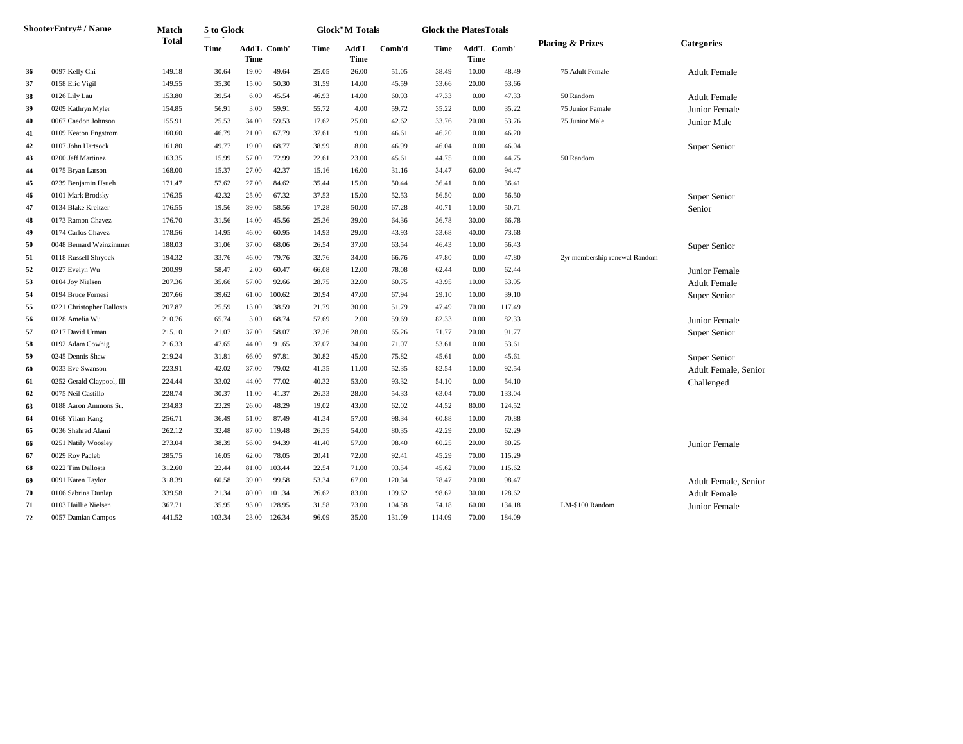|    | <b>ShooterEntry#/Name</b> | Match        | 5 to Glock  |       |             |       | <b>Glock</b> "M Totals |        | <b>Glock the PlatesTotals</b> |             |             |                               |                      |
|----|---------------------------|--------------|-------------|-------|-------------|-------|------------------------|--------|-------------------------------|-------------|-------------|-------------------------------|----------------------|
|    |                           | <b>Total</b> | <b>Time</b> | Time  | Add'L Comb' | Time  | Add'L<br>Time          | Comb'd | Time                          | <b>Time</b> | Add'L Comb' | <b>Placing &amp; Prizes</b>   | <b>Categories</b>    |
| 36 | 0097 Kelly Chi            | 149.18       | 30.64       | 19.00 | 49.64       | 25.05 | 26.00                  | 51.05  | 38.49                         | 10.00       | 48.49       | 75 Adult Female               | <b>Adult Female</b>  |
| 37 | 0158 Eric Vigil           | 149.55       | 35.30       | 15.00 | 50.30       | 31.59 | 14.00                  | 45.59  | 33.66                         | 20.00       | 53.66       |                               |                      |
| 38 | 0126 Lily Lau             | 153.80       | 39.54       | 6.00  | 45.54       | 46.93 | 14.00                  | 60.93  | 47.33                         | 0.00        | 47.33       | 50 Random                     | <b>Adult Female</b>  |
| 39 | 0209 Kathryn Myler        | 154.85       | 56.91       | 3.00  | 59.91       | 55.72 | 4.00                   | 59.72  | 35.22                         | 0.00        | 35.22       | 75 Junior Female              | Junior Female        |
| 40 | 0067 Caedon Johnson       | 155.91       | 25.53       | 34.00 | 59.53       | 17.62 | 25.00                  | 42.62  | 33.76                         | 20.00       | 53.76       | 75 Junior Male                | Junior Male          |
| 41 | 0109 Keaton Engstrom      | 160.60       | 46.79       | 21.00 | 67.79       | 37.61 | 9.00                   | 46.61  | 46.20                         | 0.00        | 46.20       |                               |                      |
| 42 | 0107 John Hartsock        | 161.80       | 49.77       | 19.00 | 68.77       | 38.99 | 8.00                   | 46.99  | 46.04                         | 0.00        | 46.04       |                               | Super Senior         |
| 43 | 0200 Jeff Martinez        | 163.35       | 15.99       | 57.00 | 72.99       | 22.61 | 23.00                  | 45.61  | 44.75                         | 0.00        | 44.75       | 50 Random                     |                      |
| 44 | 0175 Bryan Larson         | 168.00       | 15.37       | 27.00 | 42.37       | 15.16 | 16.00                  | 31.16  | 34.47                         | 60.00       | 94.47       |                               |                      |
| 45 | 0239 Benjamin Hsueh       | 171.47       | 57.62       | 27.00 | 84.62       | 35.44 | 15.00                  | 50.44  | 36.41                         | 0.00        | 36.41       |                               |                      |
| 46 | 0101 Mark Brodsky         | 176.35       | 42.32       | 25.00 | 67.32       | 37.53 | 15.00                  | 52.53  | 56.50                         | 0.00        | 56.50       |                               | Super Senior         |
| 47 | 0134 Blake Kreitzer       | 176.55       | 19.56       | 39.00 | 58.56       | 17.28 | 50.00                  | 67.28  | 40.71                         | 10.00       | 50.71       |                               | Senior               |
| 48 | 0173 Ramon Chavez         | 176.70       | 31.56       | 14.00 | 45.56       | 25.36 | 39.00                  | 64.36  | 36.78                         | 30.00       | 66.78       |                               |                      |
| 49 | 0174 Carlos Chavez        | 178.56       | 14.95       | 46.00 | 60.95       | 14.93 | 29.00                  | 43.93  | 33.68                         | 40.00       | 73.68       |                               |                      |
| 50 | 0048 Bernard Weinzimmer   | 188.03       | 31.06       | 37.00 | 68.06       | 26.54 | 37.00                  | 63.54  | 46.43                         | 10.00       | 56.43       |                               | Super Senior         |
| 51 | 0118 Russell Shryock      | 194.32       | 33.76       | 46.00 | 79.76       | 32.76 | 34.00                  | 66.76  | 47.80                         | 0.00        | 47.80       | 2yr membership renewal Random |                      |
| 52 | 0127 Evelyn Wu            | 200.99       | 58.47       | 2.00  | 60.47       | 66.08 | 12.00                  | 78.08  | 62.44                         | 0.00        | 62.44       |                               | Junior Female        |
| 53 | 0104 Joy Nielsen          | 207.36       | 35.66       | 57.00 | 92.66       | 28.75 | 32.00                  | 60.75  | 43.95                         | 10.00       | 53.95       |                               | <b>Adult Female</b>  |
| 54 | 0194 Bruce Fornesi        | 207.66       | 39.62       | 61.00 | 100.62      | 20.94 | 47.00                  | 67.94  | 29.10                         | 10.00       | 39.10       |                               | Super Senior         |
| 55 | 0221 Christopher Dallosta | 207.87       | 25.59       | 13.00 | 38.59       | 21.79 | 30.00                  | 51.79  | 47.49                         | 70.00       | 117.49      |                               |                      |
| 56 | 0128 Amelia Wu            | 210.76       | 65.74       | 3.00  | 68.74       | 57.69 | 2.00                   | 59.69  | 82.33                         | 0.00        | 82.33       |                               | Junior Female        |
| 57 | 0217 David Urman          | 215.10       | 21.07       | 37.00 | 58.07       | 37.26 | 28.00                  | 65.26  | 71.77                         | 20.00       | 91.77       |                               | Super Senior         |
| 58 | 0192 Adam Cowhig          | 216.33       | 47.65       | 44.00 | 91.65       | 37.07 | 34.00                  | 71.07  | 53.61                         | 0.00        | 53.61       |                               |                      |
| 59 | 0245 Dennis Shaw          | 219.24       | 31.81       | 66.00 | 97.81       | 30.82 | 45.00                  | 75.82  | 45.61                         | 0.00        | 45.61       |                               | Super Senior         |
| 60 | 0033 Eve Swanson          | 223.91       | 42.02       | 37.00 | 79.02       | 41.35 | 11.00                  | 52.35  | 82.54                         | 10.00       | 92.54       |                               | Adult Female, Senior |
| 61 | 0252 Gerald Claypool, III | 224.44       | 33.02       | 44.00 | 77.02       | 40.32 | 53.00                  | 93.32  | 54.10                         | 0.00        | 54.10       |                               | Challenged           |
| 62 | 0075 Neil Castillo        | 228.74       | 30.37       | 11.00 | 41.37       | 26.33 | 28.00                  | 54.33  | 63.04                         | 70.00       | 133.04      |                               |                      |
| 63 | 0188 Aaron Ammons Sr.     | 234.83       | 22.29       | 26.00 | 48.29       | 19.02 | 43.00                  | 62.02  | 44.52                         | 80.00       | 124.52      |                               |                      |
| 64 | 0168 Yilam Kang           | 256.71       | 36.49       | 51.00 | 87.49       | 41.34 | 57.00                  | 98.34  | 60.88                         | 10.00       | 70.88       |                               |                      |
| 65 | 0036 Shahrad Alami        | 262.12       | 32.48       | 87.00 | 119.48      | 26.35 | 54.00                  | 80.35  | 42.29                         | 20.00       | 62.29       |                               |                      |
| 66 | 0251 Natily Woosley       | 273.04       | 38.39       | 56.00 | 94.39       | 41.40 | 57.00                  | 98.40  | 60.25                         | 20.00       | 80.25       |                               | Junior Female        |
| 67 | 0029 Roy Pacleb           | 285.75       | 16.05       | 62.00 | 78.05       | 20.41 | 72.00                  | 92.41  | 45.29                         | 70.00       | 115.29      |                               |                      |
| 68 | 0222 Tim Dallosta         | 312.60       | 22.44       | 81.00 | 103.44      | 22.54 | 71.00                  | 93.54  | 45.62                         | 70.00       | 115.62      |                               |                      |
| 69 | 0091 Karen Taylor         | 318.39       | 60.58       | 39.00 | 99.58       | 53.34 | 67.00                  | 120.34 | 78.47                         | 20.00       | 98.47       |                               | Adult Female, Senior |
| 70 | 0106 Sabrina Dunlap       | 339.58       | 21.34       | 80.00 | 101.34      | 26.62 | 83.00                  | 109.62 | 98.62                         | 30.00       | 128.62      |                               | <b>Adult Female</b>  |
| 71 | 0103 Haillie Nielsen      | 367.71       | 35.95       | 93.00 | 128.95      | 31.58 | 73.00                  | 104.58 | 74.18                         | 60.00       | 134.18      | LM-\$100 Random               | Junior Female        |
| 72 | 0057 Damian Campos        | 441.52       | 103.34      | 23.00 | 126.34      | 96.09 | 35.00                  | 131.09 | 114.09                        | 70.00       | 184.09      |                               |                      |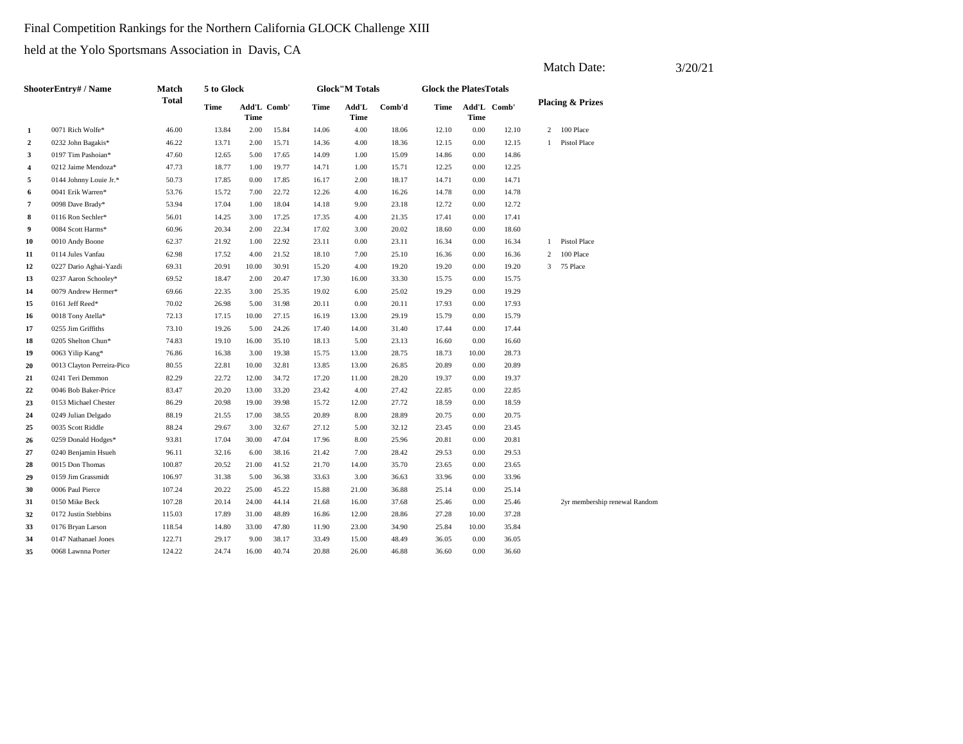### Final Competition Rankings for the Northern California GLOCK Challenge XIII

|                |                            |              |             |             |             |       |                        |        |                               |             |             |              | Match Date:                   | 3/20/21 |
|----------------|----------------------------|--------------|-------------|-------------|-------------|-------|------------------------|--------|-------------------------------|-------------|-------------|--------------|-------------------------------|---------|
|                | ShooterEntry# / Name       | Match        | 5 to Glock  |             |             |       | <b>Glock</b> "M Totals |        | <b>Glock the PlatesTotals</b> |             |             |              |                               |         |
|                |                            | <b>Total</b> | <b>Time</b> | <b>Time</b> | Add'L Comb' | Time  | Add'L<br>Time          | Comb'd | Time                          | <b>Time</b> | Add'L Comb' |              | <b>Placing &amp; Prizes</b>   |         |
| 1              | 0071 Rich Wolfe*           | 46.00        | 13.84       | 2.00        | 15.84       | 14.06 | 4.00                   | 18.06  | 12.10                         | 0.00        | 12.10       | 2            | 100 Place                     |         |
| $\overline{2}$ | 0232 John Bagakis*         | 46.22        | 13.71       | 2.00        | 15.71       | 14.36 | 4.00                   | 18.36  | 12.15                         | 0.00        | 12.15       | $\mathbf{1}$ | Pistol Place                  |         |
| 3              | 0197 Tim Pashoian*         | 47.60        | 12.65       | 5.00        | 17.65       | 14.09 | 1.00                   | 15.09  | 14.86                         | 0.00        | 14.86       |              |                               |         |
| $\overline{4}$ | 0212 Jaime Mendoza*        | 47.73        | 18.77       | 1.00        | 19.77       | 14.71 | 1.00                   | 15.71  | 12.25                         | 0.00        | 12.25       |              |                               |         |
| 5              | 0144 Johnny Louie Jr.*     | 50.73        | 17.85       | 0.00        | 17.85       | 16.17 | 2.00                   | 18.17  | 14.71                         | 0.00        | 14.71       |              |                               |         |
| 6              | 0041 Erik Warren*          | 53.76        | 15.72       | 7.00        | 22.72       | 12.26 | 4.00                   | 16.26  | 14.78                         | 0.00        | 14.78       |              |                               |         |
| $\overline{7}$ | 0098 Dave Brady*           | 53.94        | 17.04       | 1.00        | 18.04       | 14.18 | 9.00                   | 23.18  | 12.72                         | 0.00        | 12.72       |              |                               |         |
| 8              | 0116 Ron Sechler*          | 56.01        | 14.25       | 3.00        | 17.25       | 17.35 | 4.00                   | 21.35  | 17.41                         | 0.00        | 17.41       |              |                               |         |
| 9              | 0084 Scott Harms*          | 60.96        | 20.34       | 2.00        | 22.34       | 17.02 | 3.00                   | 20.02  | 18.60                         | 0.00        | 18.60       |              |                               |         |
| 10             | 0010 Andy Boone            | 62.37        | 21.92       | 1.00        | 22.92       | 23.11 | $0.00\,$               | 23.11  | 16.34                         | 0.00        | 16.34       |              | 1 Pistol Place                |         |
| 11             | 0114 Jules Vanfau          | 62.98        | 17.52       | 4.00        | 21.52       | 18.10 | 7.00                   | 25.10  | 16.36                         | 0.00        | 16.36       | 2            | 100 Place                     |         |
| 12             | 0227 Dario Aghai-Yazdi     | 69.31        | 20.91       | 10.00       | 30.91       | 15.20 | 4.00                   | 19.20  | 19.20                         | 0.00        | 19.20       |              | 3 75 Place                    |         |
| 13             | 0237 Aaron Schooley*       | 69.52        | 18.47       | 2.00        | 20.47       | 17.30 | 16.00                  | 33.30  | 15.75                         | 0.00        | 15.75       |              |                               |         |
| 14             | 0079 Andrew Hermer*        | 69.66        | 22.35       | 3.00        | 25.35       | 19.02 | 6.00                   | 25.02  | 19.29                         | 0.00        | 19.29       |              |                               |         |
| 15             | 0161 Jeff Reed*            | 70.02        | 26.98       | 5.00        | 31.98       | 20.11 | 0.00                   | 20.11  | 17.93                         | 0.00        | 17.93       |              |                               |         |
| 16             | 0018 Tony Atella*          | 72.13        | 17.15       | 10.00       | 27.15       | 16.19 | 13.00                  | 29.19  | 15.79                         | 0.00        | 15.79       |              |                               |         |
| 17             | 0255 Jim Griffiths         | 73.10        | 19.26       | 5.00        | 24.26       | 17.40 | 14.00                  | 31.40  | 17.44                         | 0.00        | 17.44       |              |                               |         |
| 18             | 0205 Shelton Chun*         | 74.83        | 19.10       | 16.00       | 35.10       | 18.13 | 5.00                   | 23.13  | 16.60                         | 0.00        | 16.60       |              |                               |         |
| 19             | 0063 Yilip Kang*           | 76.86        | 16.38       | 3.00        | 19.38       | 15.75 | 13.00                  | 28.75  | 18.73                         | 10.00       | 28.73       |              |                               |         |
| 20             | 0013 Clayton Perreira-Pico | 80.55        | 22.81       | 10.00       | 32.81       | 13.85 | 13.00                  | 26.85  | 20.89                         | 0.00        | 20.89       |              |                               |         |
| 21             | 0241 Teri Demmon           | 82.29        | 22.72       | 12.00       | 34.72       | 17.20 | 11.00                  | 28.20  | 19.37                         | 0.00        | 19.37       |              |                               |         |
| 22             | 0046 Bob Baker-Price       | 83.47        | 20.20       | 13.00       | 33.20       | 23.42 | 4.00                   | 27.42  | 22.85                         | 0.00        | 22.85       |              |                               |         |
| 23             | 0153 Michael Chester       | 86.29        | 20.98       | 19.00       | 39.98       | 15.72 | 12.00                  | 27.72  | 18.59                         | 0.00        | 18.59       |              |                               |         |
| 24             | 0249 Julian Delgado        | 88.19        | 21.55       | 17.00       | 38.55       | 20.89 | 8.00                   | 28.89  | 20.75                         | 0.00        | 20.75       |              |                               |         |
| 25             | 0035 Scott Riddle          | 88.24        | 29.67       | 3.00        | 32.67       | 27.12 | 5.00                   | 32.12  | 23.45                         | 0.00        | 23.45       |              |                               |         |
| 26             | 0259 Donald Hodges*        | 93.81        | 17.04       | 30.00       | 47.04       | 17.96 | 8.00                   | 25.96  | 20.81                         | 0.00        | 20.81       |              |                               |         |
| 27             | 0240 Benjamin Hsueh        | 96.11        | 32.16       | 6.00        | 38.16       | 21.42 | 7.00                   | 28.42  | 29.53                         | 0.00        | 29.53       |              |                               |         |
| 28             | 0015 Don Thomas            | 100.87       | 20.52       | 21.00       | 41.52       | 21.70 | 14.00                  | 35.70  | 23.65                         | 0.00        | 23.65       |              |                               |         |
| 29             | 0159 Jim Grassmidt         | 106.97       | 31.38       | 5.00        | 36.38       | 33.63 | 3.00                   | 36.63  | 33.96                         | 0.00        | 33.96       |              |                               |         |
| 30             | 0006 Paul Pierce           | 107.24       | 20.22       | 25.00       | 45.22       | 15.88 | 21.00                  | 36.88  | 25.14                         | 0.00        | 25.14       |              |                               |         |
| 31             | 0150 Mike Beck             | 107.28       | 20.14       | 24.00       | 44.14       | 21.68 | 16.00                  | 37.68  | 25.46                         | 0.00        | 25.46       |              | 2yr membership renewal Random |         |
| 32             | 0172 Justin Stebbins       | 115.03       | 17.89       | 31.00       | 48.89       | 16.86 | 12.00                  | 28.86  | 27.28                         | 10.00       | 37.28       |              |                               |         |
| 33             | 0176 Bryan Larson          | 118.54       | 14.80       | 33.00       | 47.80       | 11.90 | 23.00                  | 34.90  | 25.84                         | 10.00       | 35.84       |              |                               |         |
| 34             | 0147 Nathanael Jones       | 122.71       | 29.17       | 9.00        | 38.17       | 33.49 | 15.00                  | 48.49  | 36.05                         | 0.00        | 36.05       |              |                               |         |
| 35             | 0068 Lawnna Porter         | 124.22       | 24.74       | 16.00       | 40.74       | 20.88 | 26.00                  | 46.88  | 36.60                         | 0.00        | 36.60       |              |                               |         |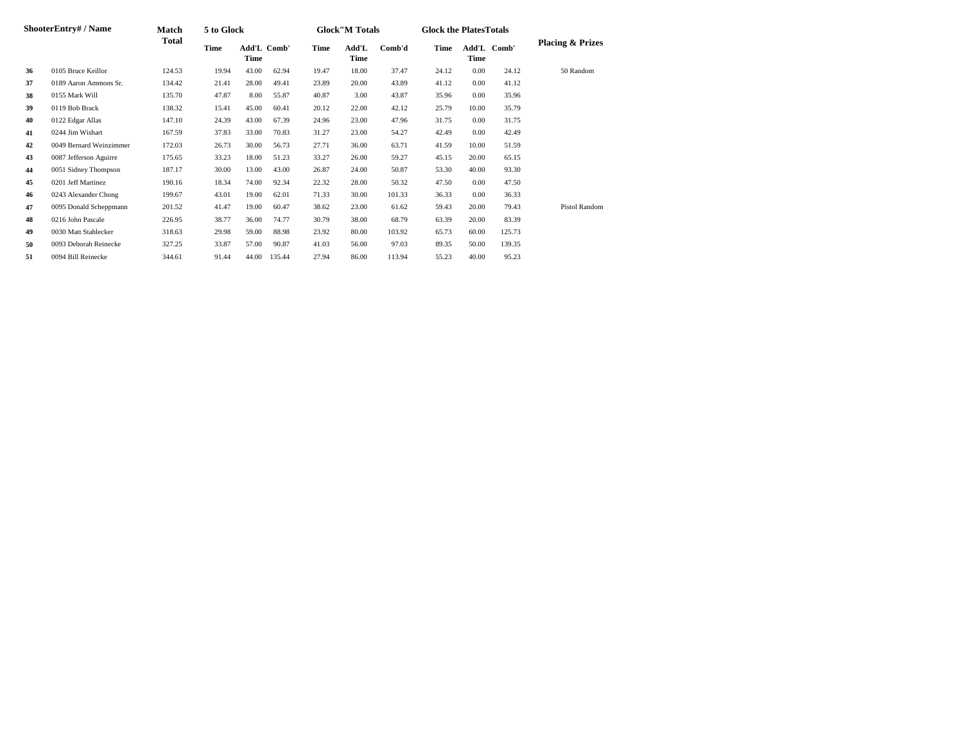|    | ShooterEntry# / Name    | <b>Match</b> | 5 to Glock |                     |        |       | <b>Glock</b> "M Totals |        |       | <b>Glock the Plates Totals</b> |             |                             |
|----|-------------------------|--------------|------------|---------------------|--------|-------|------------------------|--------|-------|--------------------------------|-------------|-----------------------------|
|    |                         | Total        | Time       | Add'L Comb'<br>Time |        | Time  | Add'L<br>Time          | Comb'd | Time  | Time                           | Add'L Comb' | <b>Placing &amp; Prizes</b> |
| 36 | 0105 Bruce Keillor      | 124.53       | 19.94      | 43.00               | 62.94  | 19.47 | 18.00                  | 37.47  | 24.12 | 0.00                           | 24.12       | 50 Random                   |
| 37 | 0189 Aaron Ammons Sr.   | 134.42       | 21.41      | 28.00               | 49.41  | 23.89 | 20.00                  | 43.89  | 41.12 | 0.00                           | 41.12       |                             |
| 38 | 0155 Mark Will          | 135.70       | 47.87      | 8.00                | 55.87  | 40.87 | 3.00                   | 43.87  | 35.96 | 0.00                           | 35.96       |                             |
| 39 | 0119 Bob Brack          | 138.32       | 15.41      | 45.00               | 60.41  | 20.12 | 22.00                  | 42.12  | 25.79 | 10.00                          | 35.79       |                             |
| 40 | 0122 Edgar Allas        | 147.10       | 24.39      | 43.00               | 67.39  | 24.96 | 23.00                  | 47.96  | 31.75 | 0.00                           | 31.75       |                             |
| 41 | 0244 Jim Wishart        | 167.59       | 37.83      | 33.00               | 70.83  | 31.27 | 23.00                  | 54.27  | 42.49 | 0.00                           | 42.49       |                             |
| 42 | 0049 Bernard Weinzimmer | 172.03       | 26.73      | 30.00               | 56.73  | 27.71 | 36.00                  | 63.71  | 41.59 | 10.00                          | 51.59       |                             |
| 43 | 0087 Jefferson Aguirre  | 175.65       | 33.23      | 18.00               | 51.23  | 33.27 | 26.00                  | 59.27  | 45.15 | 20.00                          | 65.15       |                             |
| 44 | 0051 Sidney Thompson    | 187.17       | 30.00      | 13.00               | 43.00  | 26.87 | 24.00                  | 50.87  | 53.30 | 40.00                          | 93.30       |                             |
| 45 | 0201 Jeff Martinez      | 190.16       | 18.34      | 74.00               | 92.34  | 22.32 | 28.00                  | 50.32  | 47.50 | 0.00                           | 47.50       |                             |
| 46 | 0243 Alexander Chong    | 199.67       | 43.01      | 19.00               | 62.01  | 71.33 | 30.00                  | 101.33 | 36.33 | 0.00                           | 36.33       |                             |
| 47 | 0095 Donald Scheppmann  | 201.52       | 41.47      | 19.00               | 60.47  | 38.62 | 23.00                  | 61.62  | 59.43 | 20.00                          | 79.43       | Pistol Random               |
| 48 | 0216 John Pascale       | 226.95       | 38.77      | 36.00               | 74.77  | 30.79 | 38.00                  | 68.79  | 63.39 | 20.00                          | 83.39       |                             |
| 49 | 0030 Matt Stahlecker    | 318.63       | 29.98      | 59.00               | 88.98  | 23.92 | 80.00                  | 103.92 | 65.73 | 60.00                          | 125.73      |                             |
| 50 | 0093 Deborah Reinecke   | 327.25       | 33.87      | 57.00               | 90.87  | 41.03 | 56.00                  | 97.03  | 89.35 | 50.00                          | 139.35      |                             |
| 51 | 0094 Bill Reinecke      | 344.61       | 91.44      | 44.00               | 135.44 | 27.94 | 86.00                  | 113.94 | 55.23 | 40.00                          | 95.23       |                             |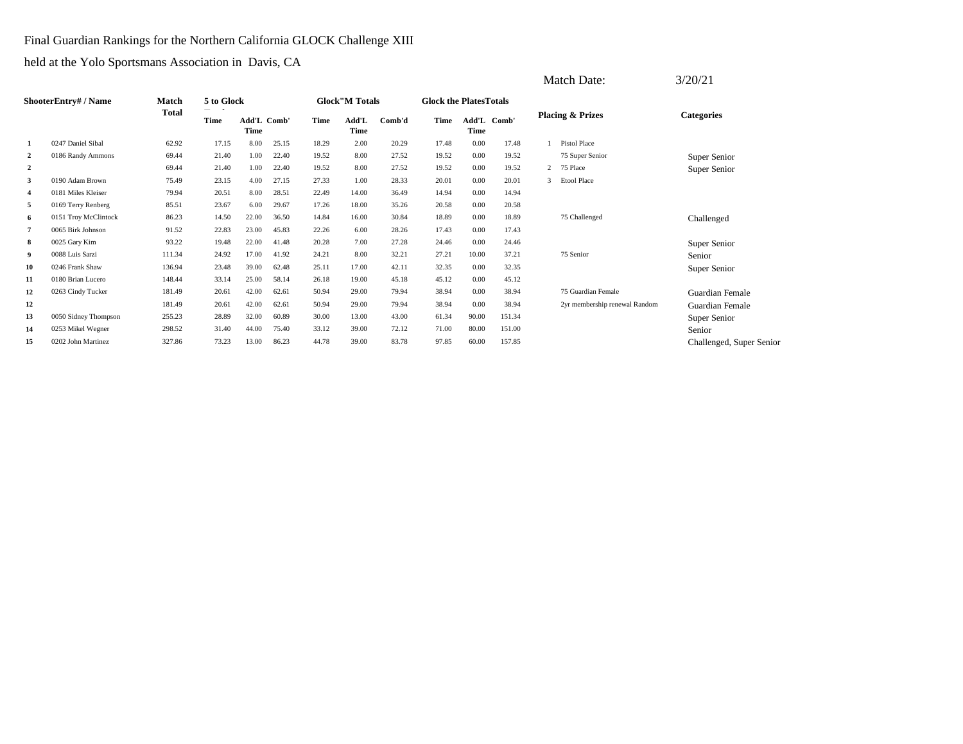Final Guardian Rankings for the Northern California GLOCK Challenge XIII

|                         |                      |              |             |       |             |       |                        |        |                               |                      |        |   | Match Date:                   | 3/20/21                  |
|-------------------------|----------------------|--------------|-------------|-------|-------------|-------|------------------------|--------|-------------------------------|----------------------|--------|---|-------------------------------|--------------------------|
|                         | ShooterEntry# / Name | Match        | 5 to Glock  |       |             |       | <b>Glock</b> "M Totals |        | <b>Glock the PlatesTotals</b> |                      |        |   |                               |                          |
|                         |                      | <b>Total</b> | <b>Time</b> | Time  | Add'L Comb' | Time  | Add'L<br>Time          | Comb'd | Time                          | Add'L<br><b>Time</b> | Comb'  |   | <b>Placing &amp; Prizes</b>   | <b>Categories</b>        |
| -1                      | 0247 Daniel Sibal    | 62.92        | 17.15       | 8.00  | 25.15       | 18.29 | 2.00                   | 20.29  | 17.48                         | 0.00                 | 17.48  |   | Pistol Place                  |                          |
| 2                       | 0186 Randy Ammons    | 69.44        | 21.40       | 1.00  | 22.40       | 19.52 | 8.00                   | 27.52  | 19.52                         | 0.00                 | 19.52  |   | 75 Super Senior               | Super Senior             |
| $\overline{2}$          |                      | 69.44        | 21.40       | 1.00  | 22.40       | 19.52 | 8.00                   | 27.52  | 19.52                         | 0.00                 | 19.52  |   | 2 75 Place                    | Super Senior             |
| 3                       | 0190 Adam Brown      | 75.49        | 23.15       | 4.00  | 27.15       | 27.33 | 1.00                   | 28.33  | 20.01                         | 0.00                 | 20.01  | 3 | <b>Etool Place</b>            |                          |
| $\overline{\mathbf{4}}$ | 0181 Miles Kleiser   | 79.94        | 20.51       | 8.00  | 28.51       | 22.49 | 14.00                  | 36.49  | 14.94                         | 0.00                 | 14.94  |   |                               |                          |
| 5                       | 0169 Terry Renberg   | 85.51        | 23.67       | 6.00  | 29.67       | 17.26 | 18.00                  | 35.26  | 20.58                         | 0.00                 | 20.58  |   |                               |                          |
| 6                       | 0151 Troy McClintock | 86.23        | 14.50       | 22.00 | 36.50       | 14.84 | 16.00                  | 30.84  | 18.89                         | 0.00                 | 18.89  |   | 75 Challenged                 | Challenged               |
| 7                       | 0065 Birk Johnson    | 91.52        | 22.83       | 23.00 | 45.83       | 22.26 | 6.00                   | 28.26  | 17.43                         | 0.00                 | 17.43  |   |                               |                          |
| 8                       | 0025 Gary Kim        | 93.22        | 19.48       | 22.00 | 41.48       | 20.28 | 7.00                   | 27.28  | 24.46                         | 0.00                 | 24.46  |   |                               | Super Senior             |
| 9                       | 0088 Luis Sarzi      | 111.34       | 24.92       | 17.00 | 41.92       | 24.21 | 8.00                   | 32.21  | 27.21                         | 10.00                | 37.21  |   | 75 Senior                     | Senior                   |
| 10                      | 0246 Frank Shaw      | 136.94       | 23.48       | 39.00 | 62.48       | 25.11 | 17.00                  | 42.11  | 32.35                         | 0.00                 | 32.35  |   |                               | Super Senior             |
| 11                      | 0180 Brian Lucero    | 148.44       | 33.14       | 25.00 | 58.14       | 26.18 | 19.00                  | 45.18  | 45.12                         | 0.00                 | 45.12  |   |                               |                          |
| 12                      | 0263 Cindy Tucker    | 181.49       | 20.61       | 42.00 | 62.61       | 50.94 | 29.00                  | 79.94  | 38.94                         | 0.00                 | 38.94  |   | 75 Guardian Female            | Guardian Female          |
| 12                      |                      | 181.49       | 20.61       | 42.00 | 62.61       | 50.94 | 29.00                  | 79.94  | 38.94                         | 0.00                 | 38.94  |   | 2yr membership renewal Random | Guardian Female          |
| 13                      | 0050 Sidney Thompson | 255.23       | 28.89       | 32.00 | 60.89       | 30.00 | 13.00                  | 43.00  | 61.34                         | 90.00                | 151.34 |   |                               | Super Senior             |
| 14                      | 0253 Mikel Wegner    | 298.52       | 31.40       | 44.00 | 75.40       | 33.12 | 39.00                  | 72.12  | 71.00                         | 80.00                | 151.00 |   |                               | Senior                   |
| 15                      | 0202 John Martinez   | 327.86       | 73.23       | 13.00 | 86.23       | 44.78 | 39.00                  | 83.78  | 97.85                         | 60.00                | 157.85 |   |                               | Challenged, Super Senior |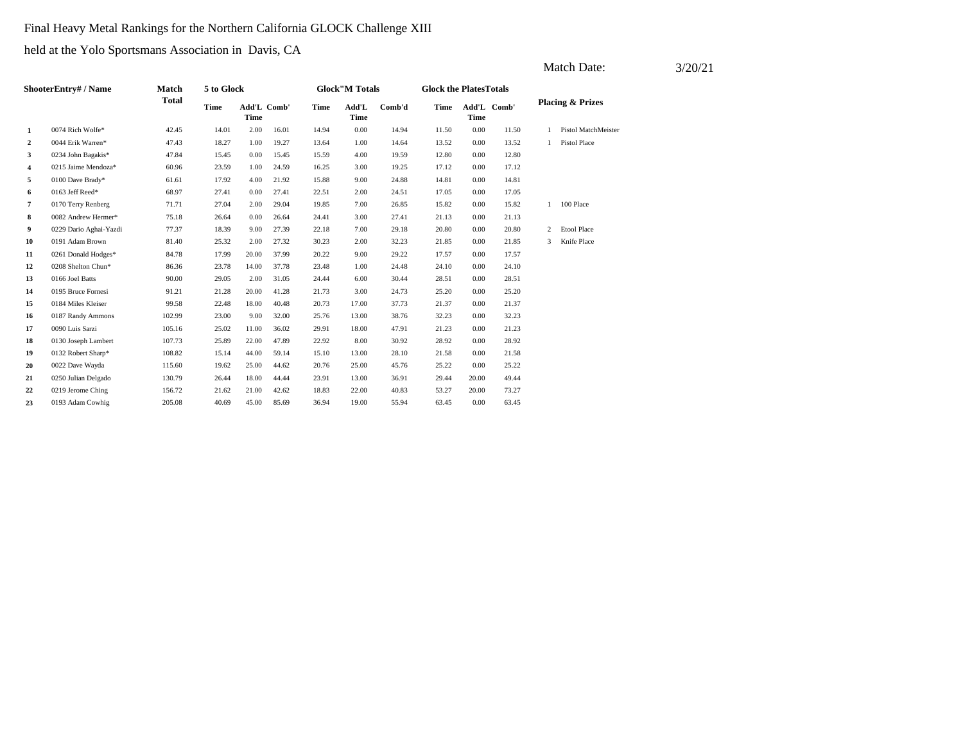### Final Heavy Metal Rankings for the Northern California GLOCK Challenge XIII

|              |                        |              |             |       |             |       |                        |        |                               |             |             |   | Match Date:                 | 3/20/21 |
|--------------|------------------------|--------------|-------------|-------|-------------|-------|------------------------|--------|-------------------------------|-------------|-------------|---|-----------------------------|---------|
|              | ShooterEntry# / Name   | <b>Match</b> | 5 to Glock  |       |             |       | <b>Glock</b> "M Totals |        | <b>Glock the PlatesTotals</b> |             |             |   |                             |         |
|              |                        | <b>Total</b> | <b>Time</b> | Time  | Add'L Comb' | Time  | Add'L<br><b>Time</b>   | Comb'd | Time                          | <b>Time</b> | Add'L Comb' |   | <b>Placing &amp; Prizes</b> |         |
| $\mathbf{1}$ | 0074 Rich Wolfe*       | 42.45        | 14.01       | 2.00  | 16.01       | 14.94 | 0.00                   | 14.94  | 11.50                         | 0.00        | 11.50       |   | Pistol MatchMeister         |         |
| 2            | 0044 Erik Warren*      | 47.43        | 18.27       | 1.00  | 19.27       | 13.64 | 1.00                   | 14.64  | 13.52                         | 0.00        | 13.52       |   | Pistol Place                |         |
| 3            | 0234 John Bagakis*     | 47.84        | 15.45       | 0.00  | 15.45       | 15.59 | 4.00                   | 19.59  | 12.80                         | 0.00        | 12.80       |   |                             |         |
| 4            | 0215 Jaime Mendoza*    | 60.96        | 23.59       | 1.00  | 24.59       | 16.25 | 3.00                   | 19.25  | 17.12                         | 0.00        | 17.12       |   |                             |         |
| 5            | 0100 Dave Brady*       | 61.61        | 17.92       | 4.00  | 21.92       | 15.88 | 9.00                   | 24.88  | 14.81                         | 0.00        | 14.81       |   |                             |         |
| 6            | 0163 Jeff Reed*        | 68.97        | 27.41       | 0.00  | 27.41       | 22.51 | 2.00                   | 24.51  | 17.05                         | 0.00        | 17.05       |   |                             |         |
| 7            | 0170 Terry Renberg     | 71.71        | 27.04       | 2.00  | 29.04       | 19.85 | 7.00                   | 26.85  | 15.82                         | 0.00        | 15.82       |   | 1 100 Place                 |         |
| 8            | 0082 Andrew Hermer*    | 75.18        | 26.64       | 0.00  | 26.64       | 24.41 | 3.00                   | 27.41  | 21.13                         | 0.00        | 21.13       |   |                             |         |
| 9            | 0229 Dario Aghai-Yazdi | 77.37        | 18.39       | 9.00  | 27.39       | 22.18 | 7.00                   | 29.18  | 20.80                         | 0.00        | 20.80       | 2 | <b>Etool Place</b>          |         |
| 10           | 0191 Adam Brown        | 81.40        | 25.32       | 2.00  | 27.32       | 30.23 | 2.00                   | 32.23  | 21.85                         | 0.00        | 21.85       |   | 3 Knife Place               |         |
| 11           | 0261 Donald Hodges*    | 84.78        | 17.99       | 20.00 | 37.99       | 20.22 | 9.00                   | 29.22  | 17.57                         | 0.00        | 17.57       |   |                             |         |
| 12           | 0208 Shelton Chun*     | 86.36        | 23.78       | 14.00 | 37.78       | 23.48 | 1.00                   | 24.48  | 24.10                         | 0.00        | 24.10       |   |                             |         |
| 13           | 0166 Joel Batts        | 90.00        | 29.05       | 2.00  | 31.05       | 24.44 | 6.00                   | 30.44  | 28.51                         | 0.00        | 28.51       |   |                             |         |
| 14           | 0195 Bruce Fornesi     | 91.21        | 21.28       | 20.00 | 41.28       | 21.73 | 3.00                   | 24.73  | 25.20                         | 0.00        | 25.20       |   |                             |         |
| 15           | 0184 Miles Kleiser     | 99.58        | 22.48       | 18.00 | 40.48       | 20.73 | 17.00                  | 37.73  | 21.37                         | 0.00        | 21.37       |   |                             |         |
| 16           | 0187 Randy Ammons      | 102.99       | 23.00       | 9.00  | 32.00       | 25.76 | 13.00                  | 38.76  | 32.23                         | 0.00        | 32.23       |   |                             |         |
| 17           | 0090 Luis Sarzi        | 105.16       | 25.02       | 11.00 | 36.02       | 29.91 | 18.00                  | 47.91  | 21.23                         | 0.00        | 21.23       |   |                             |         |
| 18           | 0130 Joseph Lambert    | 107.73       | 25.89       | 22.00 | 47.89       | 22.92 | 8.00                   | 30.92  | 28.92                         | 0.00        | 28.92       |   |                             |         |
| 19           | 0132 Robert Sharp*     | 108.82       | 15.14       | 44.00 | 59.14       | 15.10 | 13.00                  | 28.10  | 21.58                         | 0.00        | 21.58       |   |                             |         |
| 20           | 0022 Dave Wayda        | 115.60       | 19.62       | 25.00 | 44.62       | 20.76 | 25.00                  | 45.76  | 25.22                         | 0.00        | 25.22       |   |                             |         |
| 21           | 0250 Julian Delgado    | 130.79       | 26.44       | 18.00 | 44.44       | 23.91 | 13.00                  | 36.91  | 29.44                         | 20.00       | 49.44       |   |                             |         |
| 22           | 0219 Jerome Ching      | 156.72       | 21.62       | 21.00 | 42.62       | 18.83 | 22.00                  | 40.83  | 53.27                         | 20.00       | 73.27       |   |                             |         |
| 23           | 0193 Adam Cowhig       | 205.08       | 40.69       | 45.00 | 85.69       | 36.94 | 19.00                  | 55.94  | 63.45                         | 0.00        | 63.45       |   |                             |         |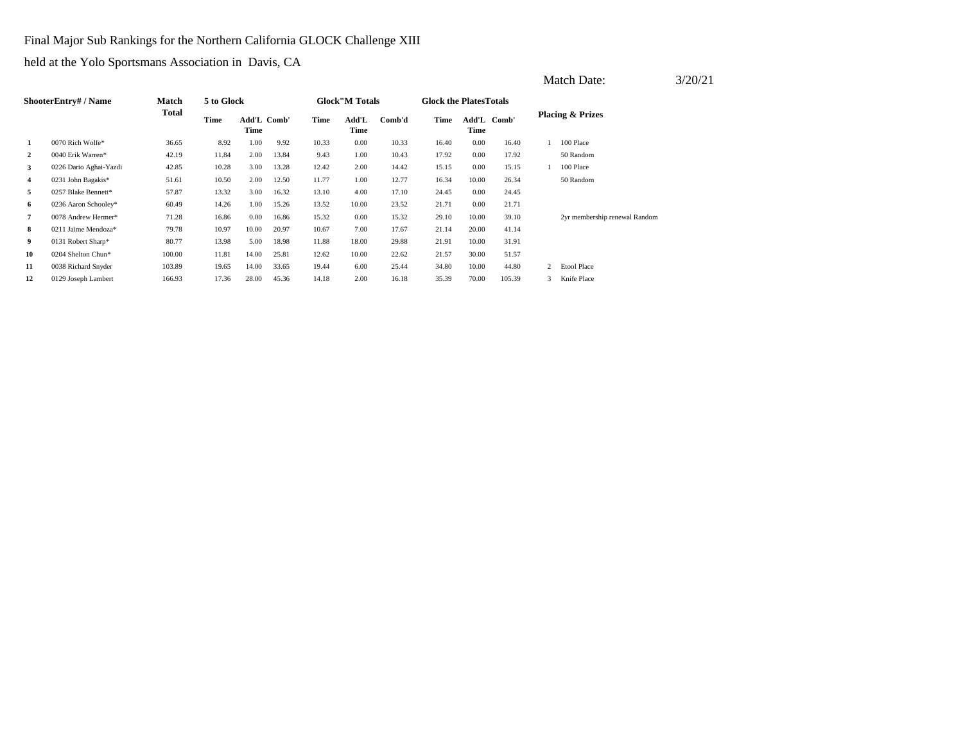Final Major Sub Rankings for the Northern California GLOCK Challenge XIII

|                |                           |        |            |                     |       |       |                        |        |                                |       |             |   | <b>Match Date:</b>            | 3/20/21 |
|----------------|---------------------------|--------|------------|---------------------|-------|-------|------------------------|--------|--------------------------------|-------|-------------|---|-------------------------------|---------|
|                | <b>ShooterEntry#/Name</b> | Match  | 5 to Glock |                     |       |       | <b>Glock</b> "M Totals |        | <b>Glock the Plates Totals</b> |       |             |   |                               |         |
|                |                           | Total  | Time       | Add'L Comb'<br>Time |       | Time  | Add'L<br>Time          | Comb'd | Time                           | Time  | Add'L Comb' |   | <b>Placing &amp; Prizes</b>   |         |
| 1              | 0070 Rich Wolfe*          | 36.65  | 8.92       | 1.00                | 9.92  | 10.33 | 0.00                   | 10.33  | 16.40                          | 0.00  | 16.40       |   | 100 Place                     |         |
| $\overline{2}$ | 0040 Erik Warren*         | 42.19  | 11.84      | 2.00                | 13.84 | 9.43  | 1.00                   | 10.43  | 17.92                          | 0.00  | 17.92       |   | 50 Random                     |         |
| 3              | 0226 Dario Aghai-Yazdi    | 42.85  | 10.28      | 3.00                | 13.28 | 12.42 | 2.00                   | 14.42  | 15.15                          | 0.00  | 15.15       |   | 100 Place                     |         |
| 4              | 0231 John Bagakis*        | 51.61  | 10.50      | 2.00                | 12.50 | 11.77 | 1.00                   | 12.77  | 16.34                          | 10.00 | 26.34       |   | 50 Random                     |         |
| 5              | 0257 Blake Bennett*       | 57.87  | 13.32      | 3.00                | 16.32 | 13.10 | 4.00                   | 17.10  | 24.45                          | 0.00  | 24.45       |   |                               |         |
| 6              | 0236 Aaron Schooley*      | 60.49  | 14.26      | 1.00                | 15.26 | 13.52 | 10.00                  | 23.52  | 21.71                          | 0.00  | 21.71       |   |                               |         |
| $\overline{7}$ | 0078 Andrew Hermer*       | 71.28  | 16.86      | 0.00                | 16.86 | 15.32 | 0.00                   | 15.32  | 29.10                          | 10.00 | 39.10       |   | 2yr membership renewal Random |         |
| 8              | 0211 Jaime Mendoza*       | 79.78  | 10.97      | 10.00               | 20.97 | 10.67 | 7.00                   | 17.67  | 21.14                          | 20.00 | 41.14       |   |                               |         |
| 9              | 0131 Robert Sharp*        | 80.77  | 13.98      | 5.00                | 18.98 | 11.88 | 18.00                  | 29.88  | 21.91                          | 10.00 | 31.91       |   |                               |         |
| 10             | 0204 Shelton Chun*        | 100.00 | 11.81      | 14.00               | 25.81 | 12.62 | 10.00                  | 22.62  | 21.57                          | 30.00 | 51.57       |   |                               |         |
| 11             | 0038 Richard Snyder       | 103.89 | 19.65      | 14.00               | 33.65 | 19.44 | 6.00                   | 25.44  | 34.80                          | 10.00 | 44.80       | 2 | <b>Etool Place</b>            |         |
| 12             | 0129 Joseph Lambert       | 166.93 | 17.36      | 28.00               | 45.36 | 14.18 | 2.00                   | 16.18  | 35.39                          | 70.00 | 105.39      | 3 | Knife Place                   |         |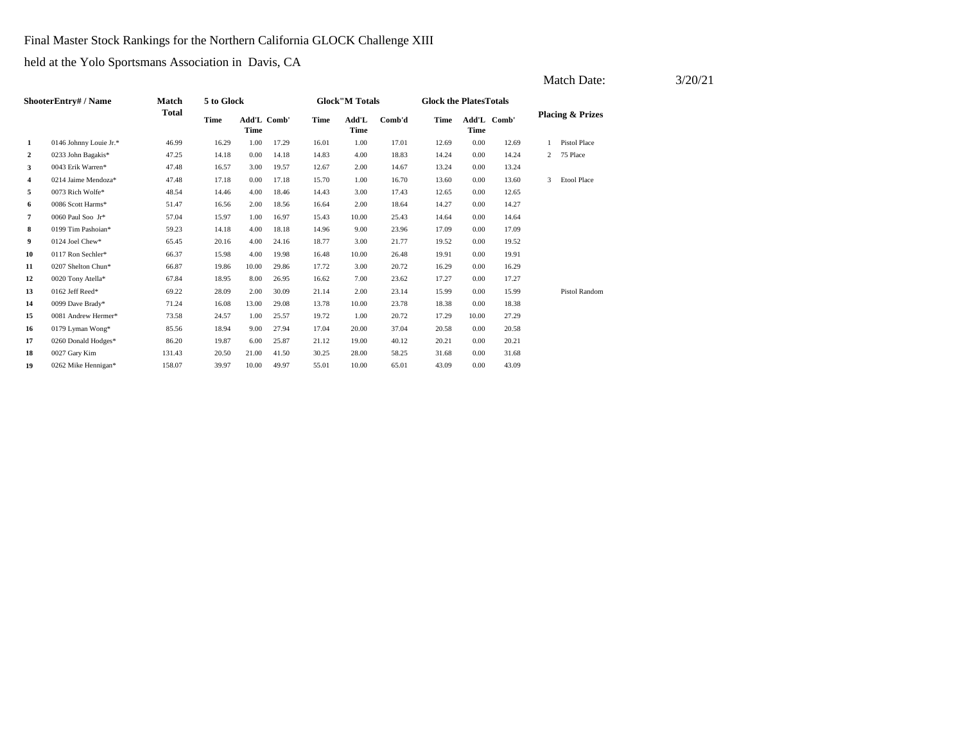Final Master Stock Rankings for the Northern California GLOCK Challenge XIII

|                |                        |              |             |                            |       |       |                        |        |                               |                            |       |   | Match Date:                 | 3/20/21 |
|----------------|------------------------|--------------|-------------|----------------------------|-------|-------|------------------------|--------|-------------------------------|----------------------------|-------|---|-----------------------------|---------|
|                | ShooterEntry# / Name   | <b>Match</b> | 5 to Glock  |                            |       |       | <b>Glock</b> "M Totals |        | <b>Glock the PlatesTotals</b> |                            |       |   |                             |         |
|                |                        | <b>Total</b> | <b>Time</b> | Add'L Comb'<br><b>Time</b> |       | Time  | Add'L<br>Time          | Comb'd | Time                          | Add'L Comb'<br><b>Time</b> |       |   | <b>Placing &amp; Prizes</b> |         |
| -1             | 0146 Johnny Louie Jr.* | 46.99        | 16.29       | 1.00                       | 17.29 | 16.01 | 1.00                   | 17.01  | 12.69                         | 0.00                       | 12.69 |   | <b>Pistol Place</b>         |         |
| 2              | 0233 John Bagakis*     | 47.25        | 14.18       | 0.00                       | 14.18 | 14.83 | 4.00                   | 18.83  | 14.24                         | 0.00                       | 14.24 | 2 | 75 Place                    |         |
| 3              | 0043 Erik Warren*      | 47.48        | 16.57       | 3.00                       | 19.57 | 12.67 | 2.00                   | 14.67  | 13.24                         | 0.00                       | 13.24 |   |                             |         |
| $\overline{4}$ | 0214 Jaime Mendoza*    | 47.48        | 17.18       | 0.00                       | 17.18 | 15.70 | 1.00                   | 16.70  | 13.60                         | 0.00                       | 13.60 | 3 | <b>Etool Place</b>          |         |
| 5              | 0073 Rich Wolfe*       | 48.54        | 14.46       | 4.00                       | 18.46 | 14.43 | 3.00                   | 17.43  | 12.65                         | 0.00                       | 12.65 |   |                             |         |
| 6              | 0086 Scott Harms*      | 51.47        | 16.56       | 2.00                       | 18.56 | 16.64 | 2.00                   | 18.64  | 14.27                         | 0.00                       | 14.27 |   |                             |         |
| 7              | 0060 Paul Soo Jr*      | 57.04        | 15.97       | 1.00                       | 16.97 | 15.43 | 10.00                  | 25.43  | 14.64                         | 0.00                       | 14.64 |   |                             |         |
| 8              | 0199 Tim Pashoian*     | 59.23        | 14.18       | 4.00                       | 18.18 | 14.96 | 9.00                   | 23.96  | 17.09                         | 0.00                       | 17.09 |   |                             |         |
| 9              | 0124 Joel Chew*        | 65.45        | 20.16       | 4.00                       | 24.16 | 18.77 | 3.00                   | 21.77  | 19.52                         | 0.00                       | 19.52 |   |                             |         |
| 10             | 0117 Ron Sechler*      | 66.37        | 15.98       | 4.00                       | 19.98 | 16.48 | 10.00                  | 26.48  | 19.91                         | 0.00                       | 19.91 |   |                             |         |
| 11             | 0207 Shelton Chun*     | 66.87        | 19.86       | 10.00                      | 29.86 | 17.72 | 3.00                   | 20.72  | 16.29                         | 0.00                       | 16.29 |   |                             |         |
| 12             | 0020 Tony Atella*      | 67.84        | 18.95       | 8.00                       | 26.95 | 16.62 | 7.00                   | 23.62  | 17.27                         | 0.00                       | 17.27 |   |                             |         |
| 13             | 0162 Jeff Reed*        | 69.22        | 28.09       | 2.00                       | 30.09 | 21.14 | 2.00                   | 23.14  | 15.99                         | 0.00                       | 15.99 |   | Pistol Random               |         |
| 14             | 0099 Dave Brady*       | 71.24        | 16.08       | 13.00                      | 29.08 | 13.78 | 10.00                  | 23.78  | 18.38                         | 0.00                       | 18.38 |   |                             |         |
| 15             | 0081 Andrew Hermer*    | 73.58        | 24.57       | 1.00                       | 25.57 | 19.72 | 1.00                   | 20.72  | 17.29                         | 10.00                      | 27.29 |   |                             |         |
| 16             | 0179 Lyman Wong*       | 85.56        | 18.94       | 9.00                       | 27.94 | 17.04 | 20.00                  | 37.04  | 20.58                         | 0.00                       | 20.58 |   |                             |         |
| 17             | 0260 Donald Hodges*    | 86.20        | 19.87       | 6.00                       | 25.87 | 21.12 | 19.00                  | 40.12  | 20.21                         | 0.00                       | 20.21 |   |                             |         |
| 18             | 0027 Gary Kim          | 131.43       | 20.50       | 21.00                      | 41.50 | 30.25 | 28.00                  | 58.25  | 31.68                         | 0.00                       | 31.68 |   |                             |         |
| 19             | 0262 Mike Hennigan*    | 158.07       | 39.97       | 10.00                      | 49.97 | 55.01 | 10.00                  | 65.01  | 43.09                         | 0.00                       | 43.09 |   |                             |         |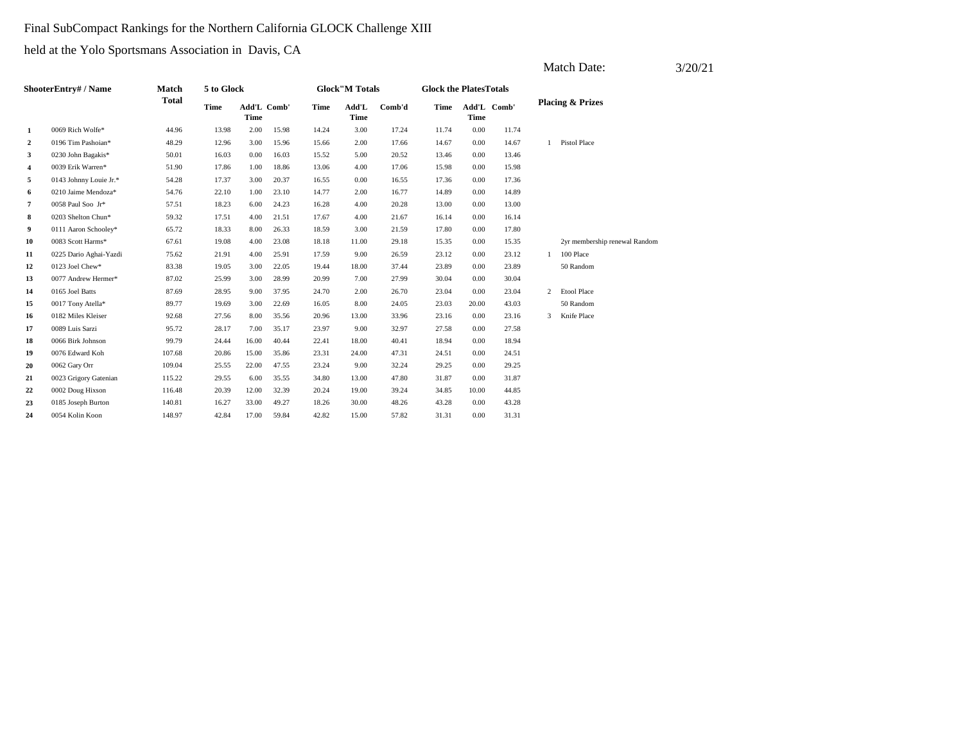### Final SubCompact Rankings for the Northern California GLOCK Challenge XIII

|                      |                        |              |             |             |             |       |                        |        |       |                               |       |              | Match Date:                   | 3/20/21 |
|----------------------|------------------------|--------------|-------------|-------------|-------------|-------|------------------------|--------|-------|-------------------------------|-------|--------------|-------------------------------|---------|
| ShooterEntry# / Name |                        | <b>Match</b> | 5 to Glock  |             |             |       | <b>Glock</b> "M Totals |        |       | <b>Glock the PlatesTotals</b> |       |              |                               |         |
|                      |                        | <b>Total</b> | <b>Time</b> | <b>Time</b> | Add'L Comb' | Time  | Add'L<br>Time          | Comb'd | Time  | Add'L Comb'<br><b>Time</b>    |       |              | <b>Placing &amp; Prizes</b>   |         |
| 1                    | 0069 Rich Wolfe*       | 44.96        | 13.98       | 2.00        | 15.98       | 14.24 | 3.00                   | 17.24  | 11.74 | 0.00                          | 11.74 |              |                               |         |
| $\overline{2}$       | 0196 Tim Pashoian*     | 48.29        | 12.96       | 3.00        | 15.96       | 15.66 | 2.00                   | 17.66  | 14.67 | 0.00                          | 14.67 |              | 1 Pistol Place                |         |
| 3                    | 0230 John Bagakis*     | 50.01        | 16.03       | 0.00        | 16.03       | 15.52 | 5.00                   | 20.52  | 13.46 | 0.00                          | 13.46 |              |                               |         |
| 4                    | 0039 Erik Warren*      | 51.90        | 17.86       | 1.00        | 18.86       | 13.06 | 4.00                   | 17.06  | 15.98 | 0.00                          | 15.98 |              |                               |         |
| 5                    | 0143 Johnny Louie Jr.* | 54.28        | 17.37       | 3.00        | 20.37       | 16.55 | 0.00                   | 16.55  | 17.36 | 0.00                          | 17.36 |              |                               |         |
| 6                    | 0210 Jaime Mendoza*    | 54.76        | 22.10       | 1.00        | 23.10       | 14.77 | 2.00                   | 16.77  | 14.89 | 0.00                          | 14.89 |              |                               |         |
| $\overline{7}$       | 0058 Paul Soo Jr*      | 57.51        | 18.23       | 6.00        | 24.23       | 16.28 | 4.00                   | 20.28  | 13.00 | 0.00                          | 13.00 |              |                               |         |
| 8                    | 0203 Shelton Chun*     | 59.32        | 17.51       | 4.00        | 21.51       | 17.67 | 4.00                   | 21.67  | 16.14 | 0.00                          | 16.14 |              |                               |         |
| 9                    | 0111 Aaron Schooley*   | 65.72        | 18.33       | 8.00        | 26.33       | 18.59 | 3.00                   | 21.59  | 17.80 | 0.00                          | 17.80 |              |                               |         |
| 10                   | 0083 Scott Harms*      | 67.61        | 19.08       | 4.00        | 23.08       | 18.18 | 11.00                  | 29.18  | 15.35 | 0.00                          | 15.35 |              | 2yr membership renewal Random |         |
| 11                   | 0225 Dario Aghai-Yazdi | 75.62        | 21.91       | 4.00        | 25.91       | 17.59 | 9.00                   | 26.59  | 23.12 | 0.00                          | 23.12 | $\mathbf{1}$ | 100 Place                     |         |
| 12                   | 0123 Joel Chew*        | 83.38        | 19.05       | 3.00        | 22.05       | 19.44 | 18.00                  | 37.44  | 23.89 | 0.00                          | 23.89 |              | 50 Random                     |         |
| 13                   | 0077 Andrew Hermer*    | 87.02        | 25.99       | 3.00        | 28.99       | 20.99 | 7.00                   | 27.99  | 30.04 | 0.00                          | 30.04 |              |                               |         |
| 14                   | 0165 Joel Batts        | 87.69        | 28.95       | 9.00        | 37.95       | 24.70 | 2.00                   | 26.70  | 23.04 | 0.00                          | 23.04 | 2            | <b>Etool Place</b>            |         |
| 15                   | 0017 Tony Atella*      | 89.77        | 19.69       | 3.00        | 22.69       | 16.05 | 8.00                   | 24.05  | 23.03 | 20.00                         | 43.03 |              | 50 Random                     |         |
| 16                   | 0182 Miles Kleiser     | 92.68        | 27.56       | 8.00        | 35.56       | 20.96 | 13.00                  | 33.96  | 23.16 | 0.00                          | 23.16 | 3            | Knife Place                   |         |
| 17                   | 0089 Luis Sarzi        | 95.72        | 28.17       | 7.00        | 35.17       | 23.97 | 9.00                   | 32.97  | 27.58 | 0.00                          | 27.58 |              |                               |         |
| 18                   | 0066 Birk Johnson      | 99.79        | 24.44       | 16.00       | 40.44       | 22.41 | 18.00                  | 40.41  | 18.94 | 0.00                          | 18.94 |              |                               |         |
| 19                   | 0076 Edward Koh        | 107.68       | 20.86       | 15.00       | 35.86       | 23.31 | 24.00                  | 47.31  | 24.51 | 0.00                          | 24.51 |              |                               |         |
| 20                   | 0062 Gary Orr          | 109.04       | 25.55       | 22.00       | 47.55       | 23.24 | 9.00                   | 32.24  | 29.25 | 0.00                          | 29.25 |              |                               |         |
| 21                   | 0023 Grigory Gatenian  | 115.22       | 29.55       | 6.00        | 35.55       | 34.80 | 13.00                  | 47.80  | 31.87 | 0.00                          | 31.87 |              |                               |         |
| 22                   | 0002 Doug Hixson       | 116.48       | 20.39       | 12.00       | 32.39       | 20.24 | 19.00                  | 39.24  | 34.85 | 10.00                         | 44.85 |              |                               |         |
| 23                   | 0185 Joseph Burton     | 140.81       | 16.27       | 33.00       | 49.27       | 18.26 | 30.00                  | 48.26  | 43.28 | 0.00                          | 43.28 |              |                               |         |
| 24                   | 0054 Kolin Koon        | 148.97       | 42.84       | 17.00       | 59.84       | 42.82 | 15.00                  | 57.82  | 31.31 | 0.00                          | 31.31 |              |                               |         |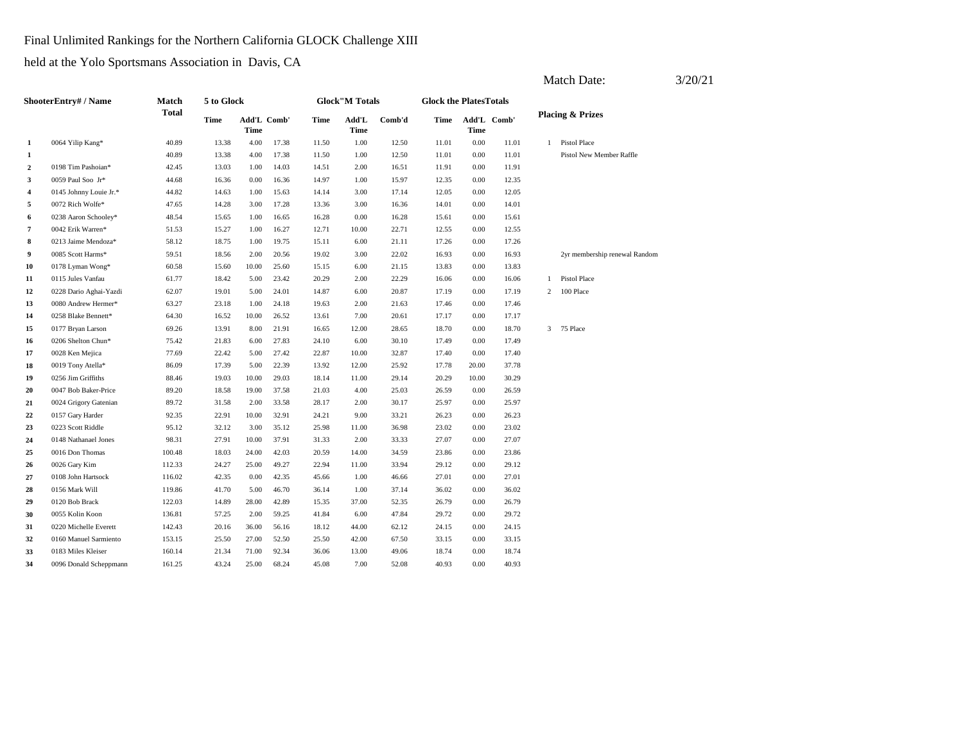Final Unlimited Rankings for the Northern California GLOCK Challenge XIII

held at the Yolo Sportsmans Association in Davis, CA

| ShooterEntry# / Name |                        | Match<br><b>Total</b> | 5 to Glock |                     |       | <b>Glock</b> "M Totals |               |        | <b>Glock the PlatesTotals</b> |       |             |                             |                               |
|----------------------|------------------------|-----------------------|------------|---------------------|-------|------------------------|---------------|--------|-------------------------------|-------|-------------|-----------------------------|-------------------------------|
|                      |                        |                       | Time       | Add'L Comb'<br>Time |       | Time                   | Add'L<br>Time | Comb'd | Time                          | Time  | Add'L Comb' | <b>Placing &amp; Prizes</b> |                               |
| $\mathbf{1}$         | 0064 Yilip Kang*       | 40.89                 | 13.38      | 4.00                | 17.38 | 11.50                  | 1.00          | 12.50  | 11.01                         | 0.00  | 11.01       | $\mathbf{1}$                | <b>Pistol Place</b>           |
| 1                    |                        | 40.89                 | 13.38      | 4.00                | 17.38 | 11.50                  | 1.00          | 12.50  | 11.01                         | 0.00  | 11.01       |                             | Pistol New Member Raffle      |
| $\boldsymbol{2}$     | 0198 Tim Pashoian*     | 42.45                 | 13.03      | 1.00                | 14.03 | 14.51                  | 2.00          | 16.51  | 11.91                         | 0.00  | 11.91       |                             |                               |
| 3                    | 0059 Paul Soo Jr*      | 44.68                 | 16.36      | 0.00                | 16.36 | 14.97                  | 1.00          | 15.97  | 12.35                         | 0.00  | 12.35       |                             |                               |
| 4                    | 0145 Johnny Louie Jr.* | 44.82                 | 14.63      | 1.00                | 15.63 | 14.14                  | 3.00          | 17.14  | 12.05                         | 0.00  | 12.05       |                             |                               |
| 5                    | 0072 Rich Wolfe*       | 47.65                 | 14.28      | 3.00                | 17.28 | 13.36                  | 3.00          | 16.36  | 14.01                         | 0.00  | 14.01       |                             |                               |
| 6                    | 0238 Aaron Schooley*   | 48.54                 | 15.65      | 1.00                | 16.65 | 16.28                  | 0.00          | 16.28  | 15.61                         | 0.00  | 15.61       |                             |                               |
| $\overline{7}$       | 0042 Erik Warren*      | 51.53                 | 15.27      | 1.00                | 16.27 | 12.71                  | 10.00         | 22.71  | 12.55                         | 0.00  | 12.55       |                             |                               |
| 8                    | 0213 Jaime Mendoza*    | 58.12                 | 18.75      | 1.00                | 19.75 | 15.11                  | 6.00          | 21.11  | 17.26                         | 0.00  | 17.26       |                             |                               |
| 9                    | 0085 Scott Harms*      | 59.51                 | 18.56      | 2.00                | 20.56 | 19.02                  | 3.00          | 22.02  | 16.93                         | 0.00  | 16.93       |                             | 2yr membership renewal Random |
| 10                   | 0178 Lyman Wong*       | 60.58                 | 15.60      | 10.00               | 25.60 | 15.15                  | 6.00          | 21.15  | 13.83                         | 0.00  | 13.83       |                             |                               |
| 11                   | 0115 Jules Vanfau      | 61.77                 | 18.42      | 5.00                | 23.42 | 20.29                  | 2.00          | 22.29  | 16.06                         | 0.00  | 16.06       | $\mathbf{1}$                | Pistol Place                  |
| 12                   | 0228 Dario Aghai-Yazdi | 62.07                 | 19.01      | 5.00                | 24.01 | 14.87                  | 6.00          | 20.87  | 17.19                         | 0.00  | 17.19       | $\overline{2}$              | 100 Place                     |
| 13                   | 0080 Andrew Hermer*    | 63.27                 | 23.18      | 1.00                | 24.18 | 19.63                  | 2.00          | 21.63  | 17.46                         | 0.00  | 17.46       |                             |                               |
| 14                   | 0258 Blake Bennett*    | 64.30                 | 16.52      | 10.00               | 26.52 | 13.61                  | 7.00          | 20.61  | 17.17                         | 0.00  | 17.17       |                             |                               |
| 15                   | 0177 Bryan Larson      | 69.26                 | 13.91      | 8.00                | 21.91 | 16.65                  | 12.00         | 28.65  | 18.70                         | 0.00  | 18.70       | $\overline{3}$              | 75 Place                      |
| 16                   | 0206 Shelton Chun*     | 75.42                 | 21.83      | 6.00                | 27.83 | 24.10                  | 6.00          | 30.10  | 17.49                         | 0.00  | 17.49       |                             |                               |
| 17                   | 0028 Ken Mejica        | 77.69                 | 22.42      | 5.00                | 27.42 | 22.87                  | 10.00         | 32.87  | 17.40                         | 0.00  | 17.40       |                             |                               |
| 18                   | 0019 Tony Atella*      | 86.09                 | 17.39      | 5.00                | 22.39 | 13.92                  | 12.00         | 25.92  | 17.78                         | 20.00 | 37.78       |                             |                               |
| 19                   | 0256 Jim Griffiths     | 88.46                 | 19.03      | 10.00               | 29.03 | 18.14                  | 11.00         | 29.14  | 20.29                         | 10.00 | 30.29       |                             |                               |
| 20                   | 0047 Bob Baker-Price   | 89.20                 | 18.58      | 19.00               | 37.58 | 21.03                  | 4.00          | 25.03  | 26.59                         | 0.00  | 26.59       |                             |                               |
| 21                   | 0024 Grigory Gatenian  | 89.72                 | 31.58      | 2.00                | 33.58 | 28.17                  | 2.00          | 30.17  | 25.97                         | 0.00  | 25.97       |                             |                               |
| 22                   | 0157 Gary Harder       | 92.35                 | 22.91      | 10.00               | 32.91 | 24.21                  | 9.00          | 33.21  | 26.23                         | 0.00  | 26.23       |                             |                               |
| 23                   | 0223 Scott Riddle      | 95.12                 | 32.12      | 3.00                | 35.12 | 25.98                  | 11.00         | 36.98  | 23.02                         | 0.00  | 23.02       |                             |                               |
| 24                   | 0148 Nathanael Jones   | 98.31                 | 27.91      | 10.00               | 37.91 | 31.33                  | 2.00          | 33.33  | 27.07                         | 0.00  | 27.07       |                             |                               |
| 25                   | 0016 Don Thomas        | 100.48                | 18.03      | 24.00               | 42.03 | 20.59                  | 14.00         | 34.59  | 23.86                         | 0.00  | 23.86       |                             |                               |
| 26                   | 0026 Gary Kim          | 112.33                | 24.27      | 25.00               | 49.27 | 22.94                  | 11.00         | 33.94  | 29.12                         | 0.00  | 29.12       |                             |                               |
| 27                   | 0108 John Hartsock     | 116.02                | 42.35      | 0.00                | 42.35 | 45.66                  | 1.00          | 46.66  | 27.01                         | 0.00  | 27.01       |                             |                               |
| 28                   | 0156 Mark Will         | 119.86                | 41.70      | 5.00                | 46.70 | 36.14                  | 1.00          | 37.14  | 36.02                         | 0.00  | 36.02       |                             |                               |
| 29                   | 0120 Bob Brack         | 122.03                | 14.89      | 28.00               | 42.89 | 15.35                  | 37.00         | 52.35  | 26.79                         | 0.00  | 26.79       |                             |                               |
| 30                   | 0055 Kolin Koon        | 136.81                | 57.25      | 2.00                | 59.25 | 41.84                  | 6.00          | 47.84  | 29.72                         | 0.00  | 29.72       |                             |                               |
| 31                   | 0220 Michelle Everett  | 142.43                | 20.16      | 36.00               | 56.16 | 18.12                  | 44.00         | 62.12  | 24.15                         | 0.00  | 24.15       |                             |                               |
| 32                   | 0160 Manuel Sarmiento  | 153.15                | 25.50      | 27.00               | 52.50 | 25.50                  | 42.00         | 67.50  | 33.15                         | 0.00  | 33.15       |                             |                               |
| 33                   | 0183 Miles Kleiser     | 160.14                | 21.34      | 71.00               | 92.34 | 36.06                  | 13.00         | 49.06  | 18.74                         | 0.00  | 18.74       |                             |                               |
| 34                   | 0096 Donald Scheppmann | 161.25                | 43.24      | 25.00               | 68.24 | 45.08                  | 7.00          | 52.08  | 40.93                         | 0.00  | 40.93       |                             |                               |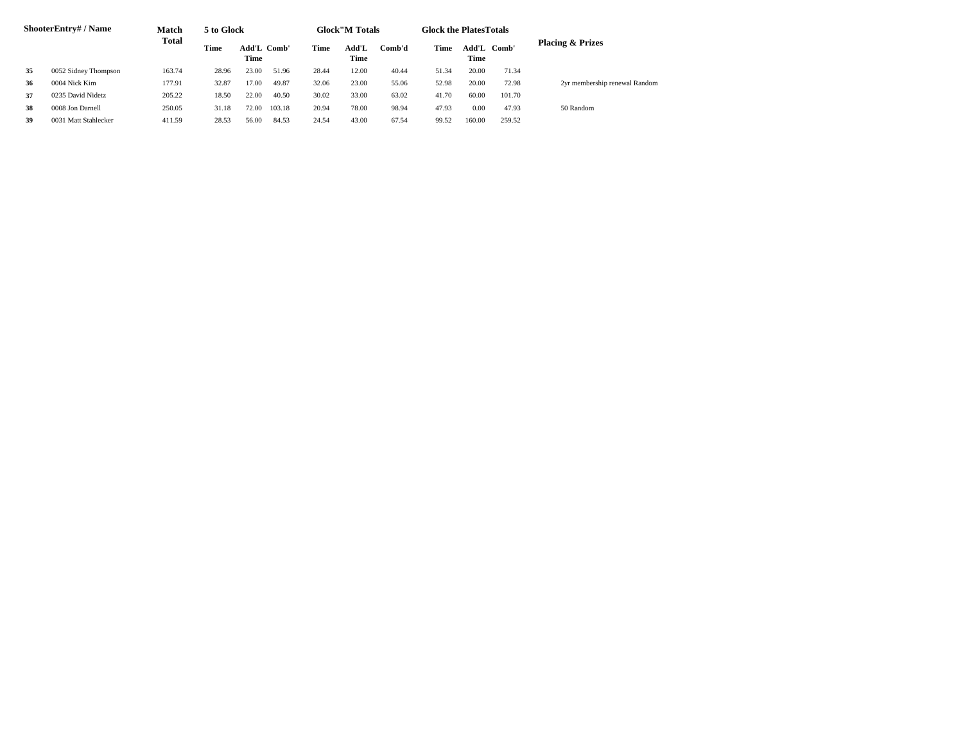| ShooterEntry# / Name |                      | Match<br><b>Total</b> | 5 to Glock                         |       |        | <b>Glock</b> "M Totals |       |        | <b>Glock the PlatesTotals</b> |        |             |                               |  |
|----------------------|----------------------|-----------------------|------------------------------------|-------|--------|------------------------|-------|--------|-------------------------------|--------|-------------|-------------------------------|--|
|                      |                      |                       | Time<br><b>Add'L Comb'</b><br>Time |       |        | Time                   |       | Comb'd | Time                          | Time   | Add'L Comb' | <b>Placing &amp; Prizes</b>   |  |
| 35                   | 0052 Sidney Thompson | 163.74                | 28.96                              | 23.00 | 51.96  | 28.44                  | 12.00 | 40.44  | 51.34                         | 20.00  | 71.34       |                               |  |
| 36                   | 0004 Nick Kim        | 177.91                | 32.87                              | 17.00 | 49.87  | 32.06                  | 23.00 | 55.06  | 52.98                         | 20.00  | 72.98       | 2yr membership renewal Random |  |
| 37                   | 0235 David Nidetz    | 205.22                | 18.50                              | 22.00 | 40.50  | 30.02                  | 33.00 | 63.02  | 41.70                         | 60.00  | 101.70      |                               |  |
| 38                   | 0008 Jon Darnell     | 250.05                | 31.18                              | 72.00 | 103.18 | 20.94                  | 78.00 | 98.94  | 47.93                         | 0.00   | 47.93       | 50 Random                     |  |
| 39                   | 0031 Matt Stahlecker | 411.59                | 28.53                              | 56.00 | 84.53  | 24.54                  | 43.00 | 67.54  | 99.52                         | 160.00 | 259.52      |                               |  |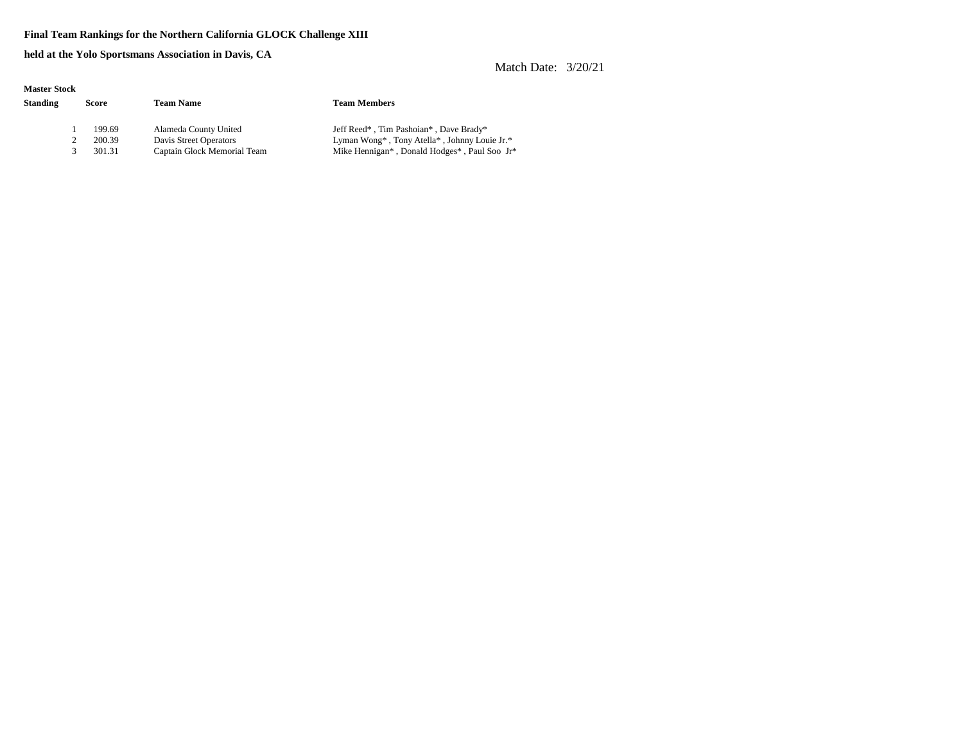#### **Final Team Rankings for the Northern California GLOCK Challenge XIII**

**held at the Yolo Sportsmans Association in Davis, CA**

| <b>Master Stock</b> |        |                             |                                              |  |  |  |  |  |  |  |  |
|---------------------|--------|-----------------------------|----------------------------------------------|--|--|--|--|--|--|--|--|
| <b>Standing</b>     | Score  | <b>Team Name</b>            | <b>Team Members</b>                          |  |  |  |  |  |  |  |  |
|                     |        |                             |                                              |  |  |  |  |  |  |  |  |
|                     | 199.69 | Alameda County United       | Jeff Reed*, Tim Pashoian*, Dave Brady*       |  |  |  |  |  |  |  |  |
|                     | 200.39 | Davis Street Operators      | Lyman Wong*, Tony Atella*, Johnny Louie Jr.* |  |  |  |  |  |  |  |  |
|                     | 301.31 | Captain Glock Memorial Team | Mike Hennigan*, Donald Hodges*, Paul Soo Jr* |  |  |  |  |  |  |  |  |